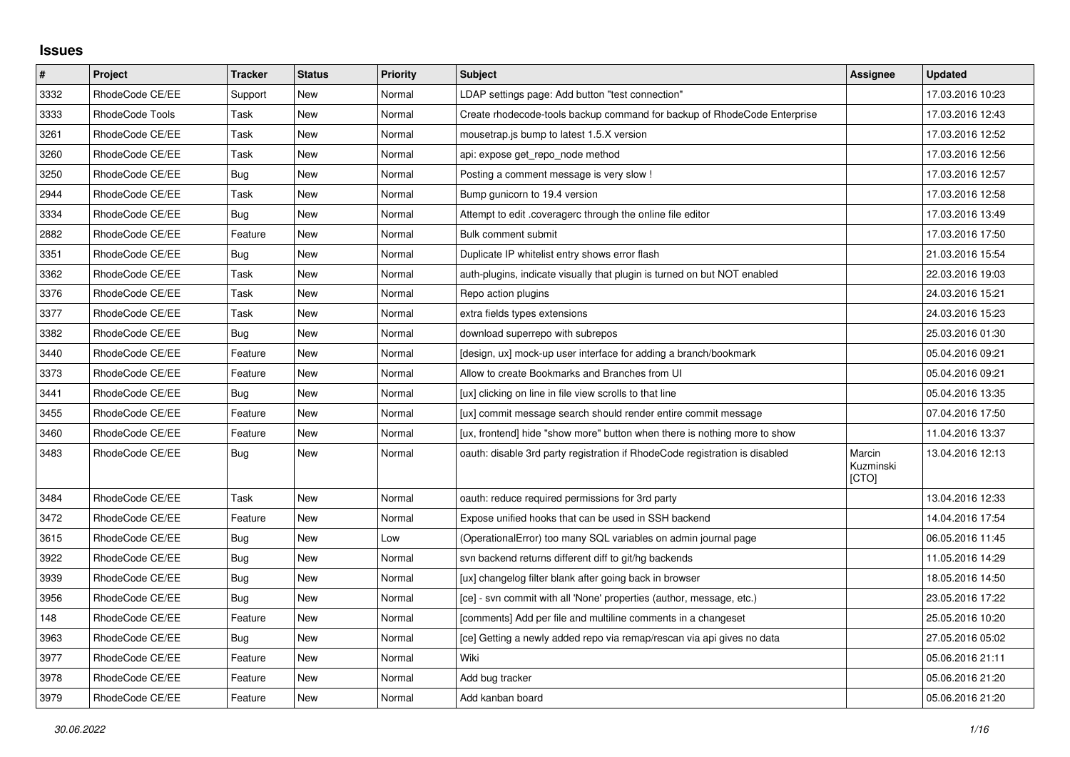## **Issues**

| $\pmb{\#}$ | Project         | Tracker    | <b>Status</b> | <b>Priority</b> | <b>Subject</b>                                                              | Assignee                     | <b>Updated</b>   |
|------------|-----------------|------------|---------------|-----------------|-----------------------------------------------------------------------------|------------------------------|------------------|
| 3332       | RhodeCode CE/EE | Support    | New           | Normal          | LDAP settings page: Add button "test connection"                            |                              | 17.03.2016 10:23 |
| 3333       | RhodeCode Tools | Task       | New           | Normal          | Create rhodecode-tools backup command for backup of RhodeCode Enterprise    |                              | 17.03.2016 12:43 |
| 3261       | RhodeCode CE/EE | Task       | New           | Normal          | mousetrap.js bump to latest 1.5.X version                                   |                              | 17.03.2016 12:52 |
| 3260       | RhodeCode CE/EE | Task       | New           | Normal          | api: expose get repo node method                                            |                              | 17.03.2016 12:56 |
| 3250       | RhodeCode CE/EE | <b>Bug</b> | New           | Normal          | Posting a comment message is very slow !                                    |                              | 17.03.2016 12:57 |
| 2944       | RhodeCode CE/EE | Task       | New           | Normal          | Bump gunicorn to 19.4 version                                               |                              | 17.03.2016 12:58 |
| 3334       | RhodeCode CE/EE | Bug        | New           | Normal          | Attempt to edit .coveragerc through the online file editor                  |                              | 17.03.2016 13:49 |
| 2882       | RhodeCode CE/EE | Feature    | New           | Normal          | Bulk comment submit                                                         |                              | 17.03.2016 17:50 |
| 3351       | RhodeCode CE/EE | <b>Bug</b> | New           | Normal          | Duplicate IP whitelist entry shows error flash                              |                              | 21.03.2016 15:54 |
| 3362       | RhodeCode CE/EE | Task       | New           | Normal          | auth-plugins, indicate visually that plugin is turned on but NOT enabled    |                              | 22.03.2016 19:03 |
| 3376       | RhodeCode CE/EE | Task       | New           | Normal          | Repo action plugins                                                         |                              | 24.03.2016 15:21 |
| 3377       | RhodeCode CE/EE | Task       | New           | Normal          | extra fields types extensions                                               |                              | 24.03.2016 15:23 |
| 3382       | RhodeCode CE/EE | Bug        | New           | Normal          | download superrepo with subrepos                                            |                              | 25.03.2016 01:30 |
| 3440       | RhodeCode CE/EE | Feature    | New           | Normal          | [design, ux] mock-up user interface for adding a branch/bookmark            |                              | 05.04.2016 09:21 |
| 3373       | RhodeCode CE/EE | Feature    | New           | Normal          | Allow to create Bookmarks and Branches from UI                              |                              | 05.04.2016 09:21 |
| 3441       | RhodeCode CE/EE | Bug        | New           | Normal          | [ux] clicking on line in file view scrolls to that line                     |                              | 05.04.2016 13:35 |
| 3455       | RhodeCode CE/EE | Feature    | New           | Normal          | [ux] commit message search should render entire commit message              |                              | 07.04.2016 17:50 |
| 3460       | RhodeCode CE/EE | Feature    | New           | Normal          | [ux, frontend] hide "show more" button when there is nothing more to show   |                              | 11.04.2016 13:37 |
| 3483       | RhodeCode CE/EE | Bug        | New           | Normal          | oauth: disable 3rd party registration if RhodeCode registration is disabled | Marcin<br>Kuzminski<br>[CTO] | 13.04.2016 12:13 |
| 3484       | RhodeCode CE/EE | Task       | New           | Normal          | oauth: reduce required permissions for 3rd party                            |                              | 13.04.2016 12:33 |
| 3472       | RhodeCode CE/EE | Feature    | New           | Normal          | Expose unified hooks that can be used in SSH backend                        |                              | 14.04.2016 17:54 |
| 3615       | RhodeCode CE/EE | <b>Bug</b> | New           | Low             | (OperationalError) too many SQL variables on admin journal page             |                              | 06.05.2016 11:45 |
| 3922       | RhodeCode CE/EE | Bug        | New           | Normal          | svn backend returns different diff to git/hg backends                       |                              | 11.05.2016 14:29 |
| 3939       | RhodeCode CE/EE | Bug        | New           | Normal          | [ux] changelog filter blank after going back in browser                     |                              | 18.05.2016 14:50 |
| 3956       | RhodeCode CE/EE | <b>Bug</b> | New           | Normal          | [ce] - svn commit with all 'None' properties (author, message, etc.)        |                              | 23.05.2016 17:22 |
| 148        | RhodeCode CE/EE | Feature    | New           | Normal          | [comments] Add per file and multiline comments in a changeset               |                              | 25.05.2016 10:20 |
| 3963       | RhodeCode CE/EE | <b>Bug</b> | New           | Normal          | [ce] Getting a newly added repo via remap/rescan via api gives no data      |                              | 27.05.2016 05:02 |
| 3977       | RhodeCode CE/EE | Feature    | New           | Normal          | Wiki                                                                        |                              | 05.06.2016 21:11 |
| 3978       | RhodeCode CE/EE | Feature    | New           | Normal          | Add bug tracker                                                             |                              | 05.06.2016 21:20 |
| 3979       | RhodeCode CE/EE | Feature    | New           | Normal          | Add kanban board                                                            |                              | 05.06.2016 21:20 |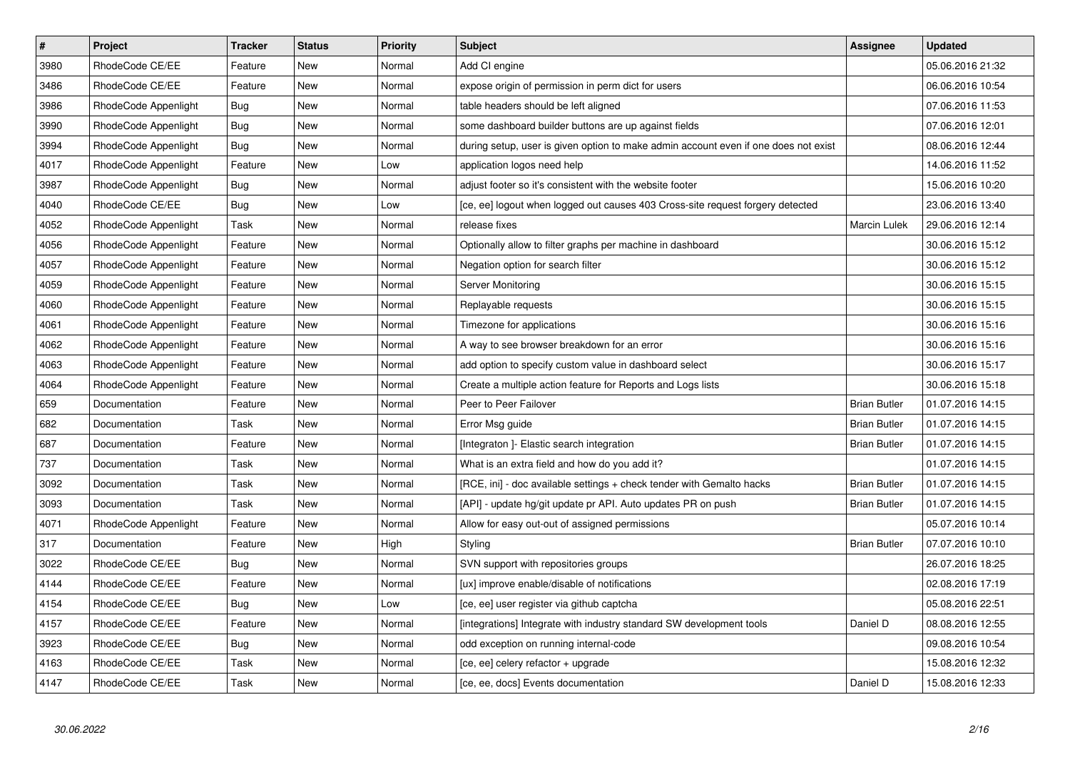| $\vert$ # | Project              | <b>Tracker</b> | <b>Status</b> | Priority | <b>Subject</b>                                                                      | Assignee            | <b>Updated</b>   |
|-----------|----------------------|----------------|---------------|----------|-------------------------------------------------------------------------------------|---------------------|------------------|
| 3980      | RhodeCode CE/EE      | Feature        | New           | Normal   | Add CI engine                                                                       |                     | 05.06.2016 21:32 |
| 3486      | RhodeCode CE/EE      | Feature        | <b>New</b>    | Normal   | expose origin of permission in perm dict for users                                  |                     | 06.06.2016 10:54 |
| 3986      | RhodeCode Appenlight | Bug            | New           | Normal   | table headers should be left aligned                                                |                     | 07.06.2016 11:53 |
| 3990      | RhodeCode Appenlight | <b>Bug</b>     | New           | Normal   | some dashboard builder buttons are up against fields                                |                     | 07.06.2016 12:01 |
| 3994      | RhodeCode Appenlight | Bug            | <b>New</b>    | Normal   | during setup, user is given option to make admin account even if one does not exist |                     | 08.06.2016 12:44 |
| 4017      | RhodeCode Appenlight | Feature        | New           | Low      | application logos need help                                                         |                     | 14.06.2016 11:52 |
| 3987      | RhodeCode Appenlight | <b>Bug</b>     | New           | Normal   | adjust footer so it's consistent with the website footer                            |                     | 15.06.2016 10:20 |
| 4040      | RhodeCode CE/EE      | Bug            | New           | Low      | [ce, ee] logout when logged out causes 403 Cross-site request forgery detected      |                     | 23.06.2016 13:40 |
| 4052      | RhodeCode Appenlight | Task           | New           | Normal   | release fixes                                                                       | <b>Marcin Lulek</b> | 29.06.2016 12:14 |
| 4056      | RhodeCode Appenlight | Feature        | New           | Normal   | Optionally allow to filter graphs per machine in dashboard                          |                     | 30.06.2016 15:12 |
| 4057      | RhodeCode Appenlight | Feature        | New           | Normal   | Negation option for search filter                                                   |                     | 30.06.2016 15:12 |
| 4059      | RhodeCode Appenlight | Feature        | New           | Normal   | <b>Server Monitoring</b>                                                            |                     | 30.06.2016 15:15 |
| 4060      | RhodeCode Appenlight | Feature        | New           | Normal   | Replayable requests                                                                 |                     | 30.06.2016 15:15 |
| 4061      | RhodeCode Appenlight | Feature        | New           | Normal   | Timezone for applications                                                           |                     | 30.06.2016 15:16 |
| 4062      | RhodeCode Appenlight | Feature        | New           | Normal   | A way to see browser breakdown for an error                                         |                     | 30.06.2016 15:16 |
| 4063      | RhodeCode Appenlight | Feature        | New           | Normal   | add option to specify custom value in dashboard select                              |                     | 30.06.2016 15:17 |
| 4064      | RhodeCode Appenlight | Feature        | New           | Normal   | Create a multiple action feature for Reports and Logs lists                         |                     | 30.06.2016 15:18 |
| 659       | Documentation        | Feature        | New           | Normal   | Peer to Peer Failover                                                               | <b>Brian Butler</b> | 01.07.2016 14:15 |
| 682       | Documentation        | Task           | New           | Normal   | Error Msg guide                                                                     | <b>Brian Butler</b> | 01.07.2016 14:15 |
| 687       | Documentation        | Feature        | <b>New</b>    | Normal   | [Integraton] - Elastic search integration                                           | <b>Brian Butler</b> | 01.07.2016 14:15 |
| 737       | Documentation        | Task           | <b>New</b>    | Normal   | What is an extra field and how do you add it?                                       |                     | 01.07.2016 14:15 |
| 3092      | Documentation        | Task           | New           | Normal   | [RCE, ini] - doc available settings + check tender with Gemalto hacks               | <b>Brian Butler</b> | 01.07.2016 14:15 |
| 3093      | Documentation        | Task           | <b>New</b>    | Normal   | [API] - update hg/git update pr API. Auto updates PR on push                        | <b>Brian Butler</b> | 01.07.2016 14:15 |
| 4071      | RhodeCode Appenlight | Feature        | New           | Normal   | Allow for easy out-out of assigned permissions                                      |                     | 05.07.2016 10:14 |
| 317       | Documentation        | Feature        | <b>New</b>    | High     | Styling                                                                             | <b>Brian Butler</b> | 07.07.2016 10:10 |
| 3022      | RhodeCode CE/EE      | Bug            | New           | Normal   | SVN support with repositories groups                                                |                     | 26.07.2016 18:25 |
| 4144      | RhodeCode CE/EE      | Feature        | New           | Normal   | [ux] improve enable/disable of notifications                                        |                     | 02.08.2016 17:19 |
| 4154      | RhodeCode CE/EE      | Bug            | <b>New</b>    | Low      | [ce, ee] user register via github captcha                                           |                     | 05.08.2016 22:51 |
| 4157      | RhodeCode CE/EE      | Feature        | New           | Normal   | [integrations] Integrate with industry standard SW development tools                | Daniel D            | 08.08.2016 12:55 |
| 3923      | RhodeCode CE/EE      | Bug            | New           | Normal   | odd exception on running internal-code                                              |                     | 09.08.2016 10:54 |
| 4163      | RhodeCode CE/EE      | Task           | New           | Normal   | [ce, ee] celery refactor + upgrade                                                  |                     | 15.08.2016 12:32 |
| 4147      | RhodeCode CE/EE      | Task           | New           | Normal   | [ce, ee, docs] Events documentation                                                 | Daniel D            | 15.08.2016 12:33 |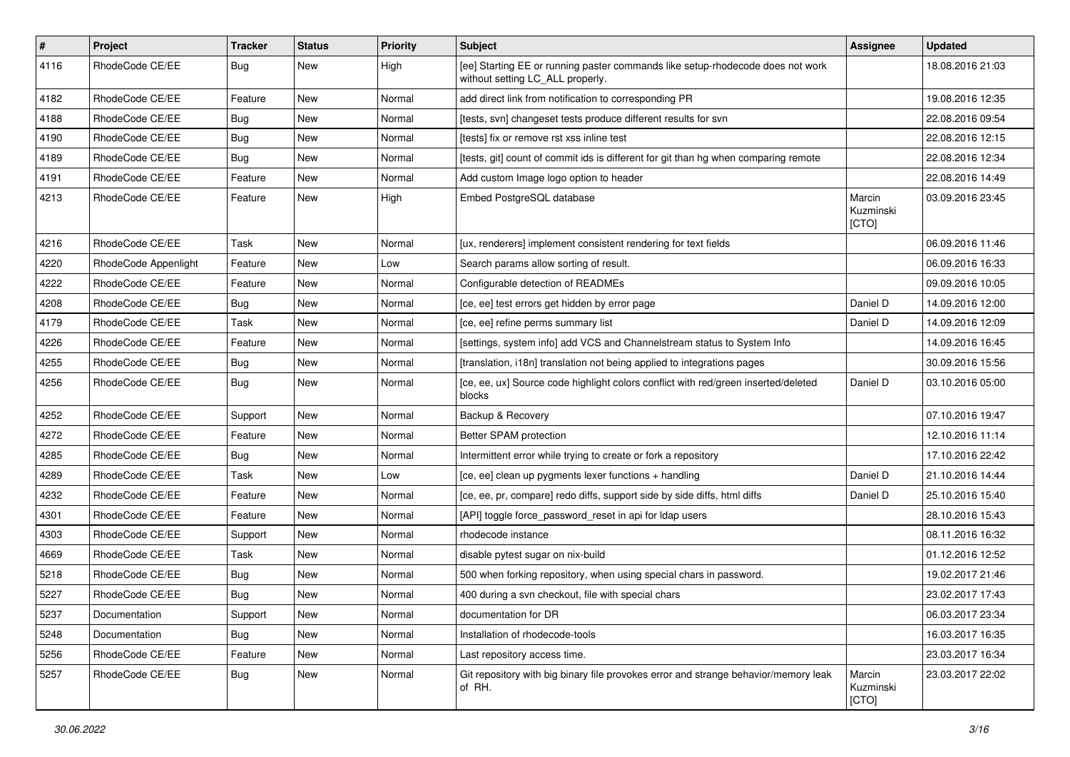| $\sharp$ | Project              | <b>Tracker</b> | <b>Status</b> | <b>Priority</b> | <b>Subject</b>                                                                                                     | <b>Assignee</b>              | <b>Updated</b>   |
|----------|----------------------|----------------|---------------|-----------------|--------------------------------------------------------------------------------------------------------------------|------------------------------|------------------|
| 4116     | RhodeCode CE/EE      | Bug            | New           | High            | [ee] Starting EE or running paster commands like setup-rhodecode does not work<br>without setting LC ALL properly. |                              | 18.08.2016 21:03 |
| 4182     | RhodeCode CE/EE      | Feature        | New           | Normal          | add direct link from notification to corresponding PR                                                              |                              | 19.08.2016 12:35 |
| 4188     | RhodeCode CE/EE      | Bug            | New           | Normal          | [tests, svn] changeset tests produce different results for svn                                                     |                              | 22.08.2016 09:54 |
| 4190     | RhodeCode CE/EE      | <b>Bug</b>     | <b>New</b>    | Normal          | [tests] fix or remove rst xss inline test                                                                          |                              | 22.08.2016 12:15 |
| 4189     | RhodeCode CE/EE      | Bug            | New           | Normal          | [tests, git] count of commit ids is different for git than hg when comparing remote                                |                              | 22.08.2016 12:34 |
| 4191     | RhodeCode CE/EE      | Feature        | <b>New</b>    | Normal          | Add custom Image logo option to header                                                                             |                              | 22.08.2016 14:49 |
| 4213     | RhodeCode CE/EE      | Feature        | New           | High            | Embed PostgreSQL database                                                                                          | Marcin<br>Kuzminski<br>[CTO] | 03.09.2016 23:45 |
| 4216     | RhodeCode CE/EE      | Task           | New           | Normal          | [ux, renderers] implement consistent rendering for text fields                                                     |                              | 06.09.2016 11:46 |
| 4220     | RhodeCode Appenlight | Feature        | New           | Low             | Search params allow sorting of result.                                                                             |                              | 06.09.2016 16:33 |
| 4222     | RhodeCode CE/EE      | Feature        | <b>New</b>    | Normal          | Configurable detection of READMEs                                                                                  |                              | 09.09.2016 10:05 |
| 4208     | RhodeCode CE/EE      | Bug            | New           | Normal          | [ce, ee] test errors get hidden by error page                                                                      | Daniel D                     | 14.09.2016 12:00 |
| 4179     | RhodeCode CE/EE      | Task           | New           | Normal          | [ce, ee] refine perms summary list                                                                                 | Daniel D                     | 14.09.2016 12:09 |
| 4226     | RhodeCode CE/EE      | Feature        | New           | Normal          | [settings, system info] add VCS and Channelstream status to System Info                                            |                              | 14.09.2016 16:45 |
| 4255     | RhodeCode CE/EE      | Bug            | New           | Normal          | [translation, i18n] translation not being applied to integrations pages                                            |                              | 30.09.2016 15:56 |
| 4256     | RhodeCode CE/EE      | Bug            | New           | Normal          | [ce, ee, ux] Source code highlight colors conflict with red/green inserted/deleted<br>blocks                       | Daniel D                     | 03.10.2016 05:00 |
| 4252     | RhodeCode CE/EE      | Support        | <b>New</b>    | Normal          | Backup & Recovery                                                                                                  |                              | 07.10.2016 19:47 |
| 4272     | RhodeCode CE/EE      | Feature        | <b>New</b>    | Normal          | Better SPAM protection                                                                                             |                              | 12.10.2016 11:14 |
| 4285     | RhodeCode CE/EE      | Bug            | New           | Normal          | Intermittent error while trying to create or fork a repository                                                     |                              | 17.10.2016 22:42 |
| 4289     | RhodeCode CE/EE      | Task           | New           | Low             | [ce, ee] clean up pygments lexer functions + handling                                                              | Daniel D                     | 21.10.2016 14:44 |
| 4232     | RhodeCode CE/EE      | Feature        | New           | Normal          | [ce, ee, pr, compare] redo diffs, support side by side diffs, html diffs                                           | Daniel D                     | 25.10.2016 15:40 |
| 4301     | RhodeCode CE/EE      | Feature        | <b>New</b>    | Normal          | [API] toggle force_password_reset in api for Idap users                                                            |                              | 28.10.2016 15:43 |
| 4303     | RhodeCode CE/EE      | Support        | <b>New</b>    | Normal          | rhodecode instance                                                                                                 |                              | 08.11.2016 16:32 |
| 4669     | RhodeCode CE/EE      | Task           | New           | Normal          | disable pytest sugar on nix-build                                                                                  |                              | 01.12.2016 12:52 |
| 5218     | RhodeCode CE/EE      | Bug            | New           | Normal          | 500 when forking repository, when using special chars in password.                                                 |                              | 19.02.2017 21:46 |
| 5227     | RhodeCode CE/EE      | <b>Bug</b>     | New           | Normal          | 400 during a svn checkout, file with special chars                                                                 |                              | 23.02.2017 17:43 |
| 5237     | Documentation        | Support        | New           | Normal          | documentation for DR                                                                                               |                              | 06.03.2017 23:34 |
| 5248     | Documentation        | <b>Bug</b>     | New           | Normal          | Installation of rhodecode-tools                                                                                    |                              | 16.03.2017 16:35 |
| 5256     | RhodeCode CE/EE      | Feature        | New           | Normal          | Last repository access time.                                                                                       |                              | 23.03.2017 16:34 |
| 5257     | RhodeCode CE/EE      | Bug            | New           | Normal          | Git repository with big binary file provokes error and strange behavior/memory leak<br>of RH.                      | Marcin<br>Kuzminski<br>[CTO] | 23.03.2017 22:02 |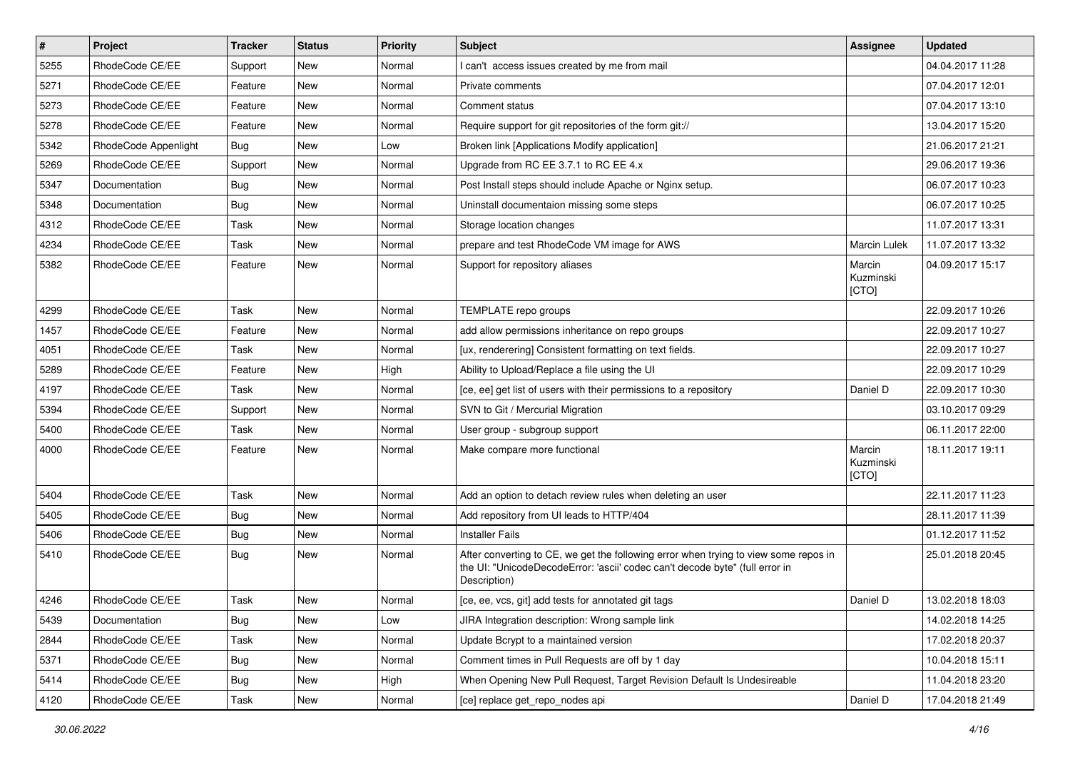| $\pmb{\#}$ | Project              | <b>Tracker</b> | <b>Status</b> | Priority | <b>Subject</b>                                                                                                                                                                       | Assignee                     | <b>Updated</b>   |
|------------|----------------------|----------------|---------------|----------|--------------------------------------------------------------------------------------------------------------------------------------------------------------------------------------|------------------------------|------------------|
| 5255       | RhodeCode CE/EE      | Support        | New           | Normal   | I can't access issues created by me from mail                                                                                                                                        |                              | 04.04.2017 11:28 |
| 5271       | RhodeCode CE/EE      | Feature        | <b>New</b>    | Normal   | Private comments                                                                                                                                                                     |                              | 07.04.2017 12:01 |
| 5273       | RhodeCode CE/EE      | Feature        | New           | Normal   | Comment status                                                                                                                                                                       |                              | 07.04.2017 13:10 |
| 5278       | RhodeCode CE/EE      | Feature        | New           | Normal   | Require support for git repositories of the form git://                                                                                                                              |                              | 13.04.2017 15:20 |
| 5342       | RhodeCode Appenlight | Bug            | <b>New</b>    | Low      | Broken link [Applications Modify application]                                                                                                                                        |                              | 21.06.2017 21:21 |
| 5269       | RhodeCode CE/EE      | Support        | New           | Normal   | Upgrade from RC EE 3.7.1 to RC EE 4.x                                                                                                                                                |                              | 29.06.2017 19:36 |
| 5347       | Documentation        | Bug            | <b>New</b>    | Normal   | Post Install steps should include Apache or Nginx setup.                                                                                                                             |                              | 06.07.2017 10:23 |
| 5348       | Documentation        | Bug            | New           | Normal   | Uninstall documentaion missing some steps                                                                                                                                            |                              | 06.07.2017 10:25 |
| 4312       | RhodeCode CE/EE      | Task           | New           | Normal   | Storage location changes                                                                                                                                                             |                              | 11.07.2017 13:31 |
| 4234       | RhodeCode CE/EE      | Task           | <b>New</b>    | Normal   | prepare and test RhodeCode VM image for AWS                                                                                                                                          | Marcin Lulek                 | 11.07.2017 13:32 |
| 5382       | RhodeCode CE/EE      | Feature        | <b>New</b>    | Normal   | Support for repository aliases                                                                                                                                                       | Marcin<br>Kuzminski<br>[CTO] | 04.09.2017 15:17 |
| 4299       | RhodeCode CE/EE      | Task           | <b>New</b>    | Normal   | TEMPLATE repo groups                                                                                                                                                                 |                              | 22.09.2017 10:26 |
| 1457       | RhodeCode CE/EE      | Feature        | <b>New</b>    | Normal   | add allow permissions inheritance on repo groups                                                                                                                                     |                              | 22.09.2017 10:27 |
| 4051       | RhodeCode CE/EE      | Task           | New           | Normal   | [ux, renderering] Consistent formatting on text fields.                                                                                                                              |                              | 22.09.2017 10:27 |
| 5289       | RhodeCode CE/EE      | Feature        | New           | High     | Ability to Upload/Replace a file using the UI                                                                                                                                        |                              | 22.09.2017 10:29 |
| 4197       | RhodeCode CE/EE      | Task           | <b>New</b>    | Normal   | [ce, ee] get list of users with their permissions to a repository                                                                                                                    | Daniel D                     | 22.09.2017 10:30 |
| 5394       | RhodeCode CE/EE      | Support        | New           | Normal   | SVN to Git / Mercurial Migration                                                                                                                                                     |                              | 03.10.2017 09:29 |
| 5400       | RhodeCode CE/EE      | Task           | <b>New</b>    | Normal   | User group - subgroup support                                                                                                                                                        |                              | 06.11.2017 22:00 |
| 4000       | RhodeCode CE/EE      | Feature        | <b>New</b>    | Normal   | Make compare more functional                                                                                                                                                         | Marcin<br>Kuzminski<br>[CTO] | 18.11.2017 19:11 |
| 5404       | RhodeCode CE/EE      | Task           | New           | Normal   | Add an option to detach review rules when deleting an user                                                                                                                           |                              | 22.11.2017 11:23 |
| 5405       | RhodeCode CE/EE      | Bug            | <b>New</b>    | Normal   | Add repository from UI leads to HTTP/404                                                                                                                                             |                              | 28.11.2017 11:39 |
| 5406       | RhodeCode CE/EE      | Bug            | <b>New</b>    | Normal   | <b>Installer Fails</b>                                                                                                                                                               |                              | 01.12.2017 11:52 |
| 5410       | RhodeCode CE/EE      | Bug            | New           | Normal   | After converting to CE, we get the following error when trying to view some repos in<br>the UI: "UnicodeDecodeError: 'ascii' codec can't decode byte" (full error in<br>Description) |                              | 25.01.2018 20:45 |
| 4246       | RhodeCode CE/EE      | Task           | New           | Normal   | [ce, ee, vcs, git] add tests for annotated git tags                                                                                                                                  | Daniel D                     | 13.02.2018 18:03 |
| 5439       | Documentation        | <b>Bug</b>     | New           | Low      | JIRA Integration description: Wrong sample link                                                                                                                                      |                              | 14.02.2018 14:25 |
| 2844       | RhodeCode CE/EE      | Task           | New           | Normal   | Update Bcrypt to a maintained version                                                                                                                                                |                              | 17.02.2018 20:37 |
| 5371       | RhodeCode CE/EE      | Bug            | New           | Normal   | Comment times in Pull Requests are off by 1 day                                                                                                                                      |                              | 10.04.2018 15:11 |
| 5414       | RhodeCode CE/EE      | Bug            | New           | High     | When Opening New Pull Request, Target Revision Default Is Undesireable                                                                                                               |                              | 11.04.2018 23:20 |
| 4120       | RhodeCode CE/EE      | Task           | New           | Normal   | [ce] replace get_repo_nodes api                                                                                                                                                      | Daniel D                     | 17.04.2018 21:49 |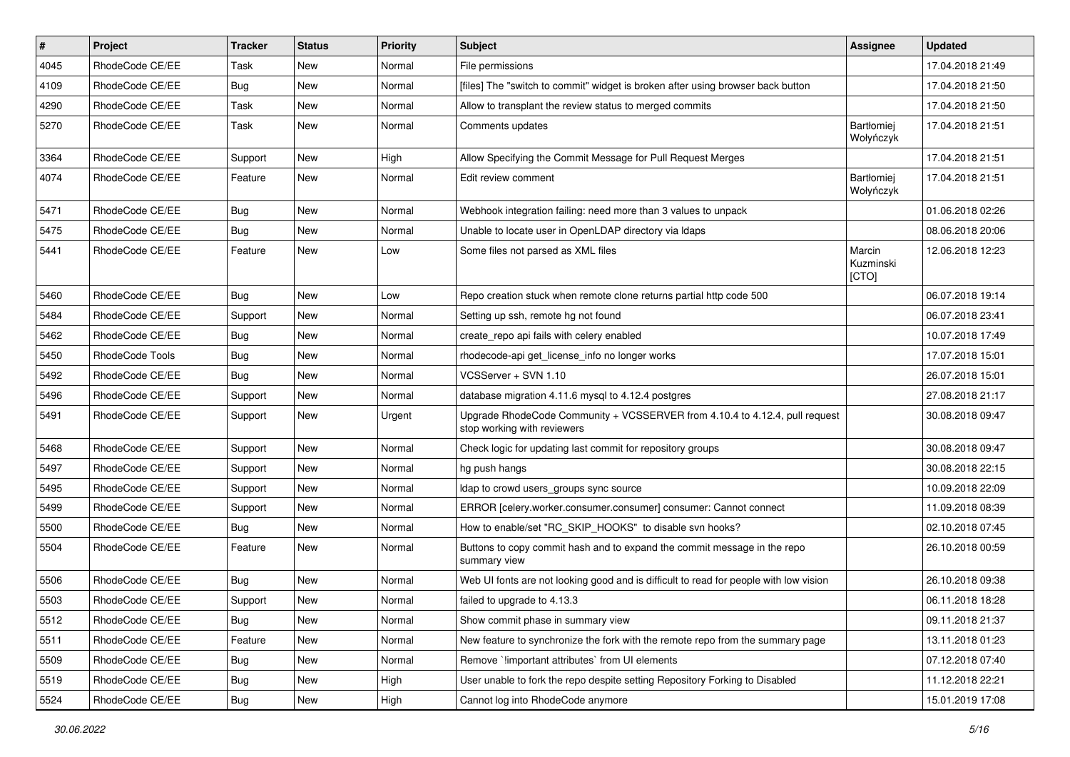| $\pmb{\#}$ | <b>Project</b>  | <b>Tracker</b> | <b>Status</b> | <b>Priority</b> | <b>Subject</b>                                                                                             | Assignee                     | <b>Updated</b>   |
|------------|-----------------|----------------|---------------|-----------------|------------------------------------------------------------------------------------------------------------|------------------------------|------------------|
| 4045       | RhodeCode CE/EE | Task           | New           | Normal          | File permissions                                                                                           |                              | 17.04.2018 21:49 |
| 4109       | RhodeCode CE/EE | Bug            | <b>New</b>    | Normal          | [files] The "switch to commit" widget is broken after using browser back button                            |                              | 17.04.2018 21:50 |
| 4290       | RhodeCode CE/EE | Task           | New           | Normal          | Allow to transplant the review status to merged commits                                                    |                              | 17.04.2018 21:50 |
| 5270       | RhodeCode CE/EE | Task           | New           | Normal          | Comments updates                                                                                           | Bartłomiej<br>Wołyńczyk      | 17.04.2018 21:51 |
| 3364       | RhodeCode CE/EE | Support        | New           | High            | Allow Specifying the Commit Message for Pull Request Merges                                                |                              | 17.04.2018 21:51 |
| 4074       | RhodeCode CE/EE | Feature        | New           | Normal          | Edit review comment                                                                                        | Bartłomiej<br>Wołyńczyk      | 17.04.2018 21:51 |
| 5471       | RhodeCode CE/EE | Bug            | <b>New</b>    | Normal          | Webhook integration failing: need more than 3 values to unpack                                             |                              | 01.06.2018 02:26 |
| 5475       | RhodeCode CE/EE | Bug            | New           | Normal          | Unable to locate user in OpenLDAP directory via Idaps                                                      |                              | 08.06.2018 20:06 |
| 5441       | RhodeCode CE/EE | Feature        | New           | Low             | Some files not parsed as XML files                                                                         | Marcin<br>Kuzminski<br>[CTO] | 12.06.2018 12:23 |
| 5460       | RhodeCode CE/EE | Bug            | <b>New</b>    | Low             | Repo creation stuck when remote clone returns partial http code 500                                        |                              | 06.07.2018 19:14 |
| 5484       | RhodeCode CE/EE | Support        | New           | Normal          | Setting up ssh, remote hg not found                                                                        |                              | 06.07.2018 23:41 |
| 5462       | RhodeCode CE/EE | Bug            | New           | Normal          | create_repo api fails with celery enabled                                                                  |                              | 10.07.2018 17:49 |
| 5450       | RhodeCode Tools | Bug            | New           | Normal          | rhodecode-api get license info no longer works                                                             |                              | 17.07.2018 15:01 |
| 5492       | RhodeCode CE/EE | Bug            | <b>New</b>    | Normal          | VCSServer + SVN 1.10                                                                                       |                              | 26.07.2018 15:01 |
| 5496       | RhodeCode CE/EE | Support        | New           | Normal          | database migration 4.11.6 mysql to 4.12.4 postgres                                                         |                              | 27.08.2018 21:17 |
| 5491       | RhodeCode CE/EE | Support        | New           | Urgent          | Upgrade RhodeCode Community + VCSSERVER from 4.10.4 to 4.12.4, pull request<br>stop working with reviewers |                              | 30.08.2018 09:47 |
| 5468       | RhodeCode CE/EE | Support        | <b>New</b>    | Normal          | Check logic for updating last commit for repository groups                                                 |                              | 30.08.2018 09:47 |
| 5497       | RhodeCode CE/EE | Support        | New           | Normal          | hg push hangs                                                                                              |                              | 30.08.2018 22:15 |
| 5495       | RhodeCode CE/EE | Support        | <b>New</b>    | Normal          | Idap to crowd users_groups sync source                                                                     |                              | 10.09.2018 22:09 |
| 5499       | RhodeCode CE/EE | Support        | New           | Normal          | ERROR [celery.worker.consumer.consumer] consumer: Cannot connect                                           |                              | 11.09.2018 08:39 |
| 5500       | RhodeCode CE/EE | Bug            | <b>New</b>    | Normal          | How to enable/set "RC_SKIP_HOOKS" to disable svn hooks?                                                    |                              | 02.10.2018 07:45 |
| 5504       | RhodeCode CE/EE | Feature        | New           | Normal          | Buttons to copy commit hash and to expand the commit message in the repo<br>summary view                   |                              | 26.10.2018 00:59 |
| 5506       | RhodeCode CE/EE | Bug            | <b>New</b>    | Normal          | Web UI fonts are not looking good and is difficult to read for people with low vision                      |                              | 26.10.2018 09:38 |
| 5503       | RhodeCode CE/EE | Support        | New           | Normal          | failed to upgrade to 4.13.3                                                                                |                              | 06.11.2018 18:28 |
| 5512       | RhodeCode CE/EE | Bug            | New           | Normal          | Show commit phase in summary view                                                                          |                              | 09.11.2018 21:37 |
| 5511       | RhodeCode CE/EE | Feature        | New           | Normal          | New feature to synchronize the fork with the remote repo from the summary page                             |                              | 13.11.2018 01:23 |
| 5509       | RhodeCode CE/EE | Bug            | New           | Normal          | Remove `!important attributes` from UI elements                                                            |                              | 07.12.2018 07:40 |
| 5519       | RhodeCode CE/EE | Bug            | New           | High            | User unable to fork the repo despite setting Repository Forking to Disabled                                |                              | 11.12.2018 22:21 |
| 5524       | RhodeCode CE/EE | <b>Bug</b>     | New           | High            | Cannot log into RhodeCode anymore                                                                          |                              | 15.01.2019 17:08 |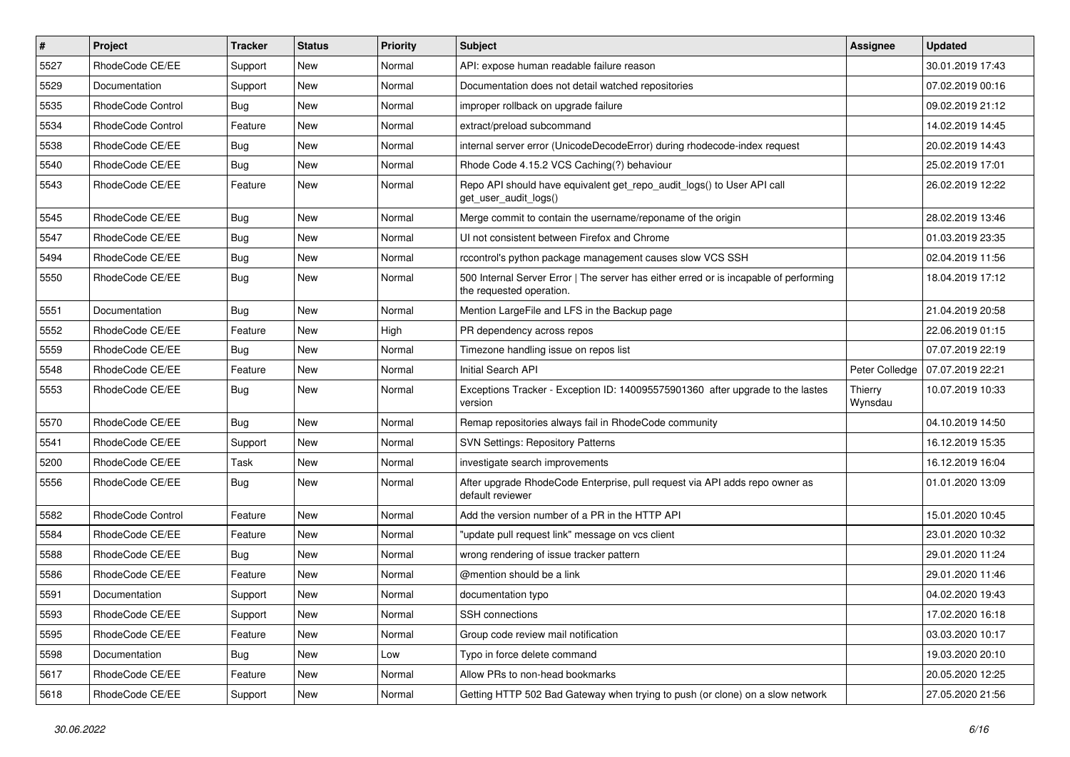| $\pmb{\#}$ | <b>Project</b>           | <b>Tracker</b> | <b>Status</b> | <b>Priority</b> | <b>Subject</b>                                                                                                    | Assignee           | <b>Updated</b>   |
|------------|--------------------------|----------------|---------------|-----------------|-------------------------------------------------------------------------------------------------------------------|--------------------|------------------|
| 5527       | RhodeCode CE/EE          | Support        | New           | Normal          | API: expose human readable failure reason                                                                         |                    | 30.01.2019 17:43 |
| 5529       | Documentation            | Support        | <b>New</b>    | Normal          | Documentation does not detail watched repositories                                                                |                    | 07.02.2019 00:16 |
| 5535       | <b>RhodeCode Control</b> | Bug            | New           | Normal          | improper rollback on upgrade failure                                                                              |                    | 09.02.2019 21:12 |
| 5534       | <b>RhodeCode Control</b> | Feature        | New           | Normal          | extract/preload subcommand                                                                                        |                    | 14.02.2019 14:45 |
| 5538       | RhodeCode CE/EE          | Bug            | <b>New</b>    | Normal          | internal server error (UnicodeDecodeError) during rhodecode-index request                                         |                    | 20.02.2019 14:43 |
| 5540       | RhodeCode CE/EE          | Bug            | New           | Normal          | Rhode Code 4.15.2 VCS Caching(?) behaviour                                                                        |                    | 25.02.2019 17:01 |
| 5543       | RhodeCode CE/EE          | Feature        | New           | Normal          | Repo API should have equivalent get repo audit logs() to User API call<br>get user audit logs()                   |                    | 26.02.2019 12:22 |
| 5545       | RhodeCode CE/EE          | Bug            | <b>New</b>    | Normal          | Merge commit to contain the username/reponame of the origin                                                       |                    | 28.02.2019 13:46 |
| 5547       | RhodeCode CE/EE          | Bug            | New           | Normal          | UI not consistent between Firefox and Chrome                                                                      |                    | 01.03.2019 23:35 |
| 5494       | RhodeCode CE/EE          | Bug            | New           | Normal          | rccontrol's python package management causes slow VCS SSH                                                         |                    | 02.04.2019 11:56 |
| 5550       | RhodeCode CE/EE          | Bug            | New           | Normal          | 500 Internal Server Error   The server has either erred or is incapable of performing<br>the requested operation. |                    | 18.04.2019 17:12 |
| 5551       | Documentation            | Bug            | <b>New</b>    | Normal          | Mention LargeFile and LFS in the Backup page                                                                      |                    | 21.04.2019 20:58 |
| 5552       | RhodeCode CE/EE          | Feature        | <b>New</b>    | High            | PR dependency across repos                                                                                        |                    | 22.06.2019 01:15 |
| 5559       | RhodeCode CE/EE          | Bug            | New           | Normal          | Timezone handling issue on repos list                                                                             |                    | 07.07.2019 22:19 |
| 5548       | RhodeCode CE/EE          | Feature        | New           | Normal          | Initial Search API                                                                                                | Peter Colledge     | 07.07.2019 22:21 |
| 5553       | RhodeCode CE/EE          | Bug            | <b>New</b>    | Normal          | Exceptions Tracker - Exception ID: 140095575901360 after upgrade to the lastes<br>version                         | Thierry<br>Wynsdau | 10.07.2019 10:33 |
| 5570       | RhodeCode CE/EE          | Bug            | <b>New</b>    | Normal          | Remap repositories always fail in RhodeCode community                                                             |                    | 04.10.2019 14:50 |
| 5541       | RhodeCode CE/EE          | Support        | <b>New</b>    | Normal          | <b>SVN Settings: Repository Patterns</b>                                                                          |                    | 16.12.2019 15:35 |
| 5200       | RhodeCode CE/EE          | Task           | <b>New</b>    | Normal          | investigate search improvements                                                                                   |                    | 16.12.2019 16:04 |
| 5556       | RhodeCode CE/EE          | Bug            | New           | Normal          | After upgrade RhodeCode Enterprise, pull request via API adds repo owner as<br>default reviewer                   |                    | 01.01.2020 13:09 |
| 5582       | <b>RhodeCode Control</b> | Feature        | <b>New</b>    | Normal          | Add the version number of a PR in the HTTP API                                                                    |                    | 15.01.2020 10:45 |
| 5584       | RhodeCode CE/EE          | Feature        | <b>New</b>    | Normal          | "update pull request link" message on vcs client                                                                  |                    | 23.01.2020 10:32 |
| 5588       | RhodeCode CE/EE          | Bug            | New           | Normal          | wrong rendering of issue tracker pattern                                                                          |                    | 29.01.2020 11:24 |
| 5586       | RhodeCode CE/EE          | Feature        | New           | Normal          | @mention should be a link                                                                                         |                    | 29.01.2020 11:46 |
| 5591       | Documentation            | Support        | New           | Normal          | documentation typo                                                                                                |                    | 04.02.2020 19:43 |
| 5593       | RhodeCode CE/EE          | Support        | New           | Normal          | SSH connections                                                                                                   |                    | 17.02.2020 16:18 |
| 5595       | RhodeCode CE/EE          | Feature        | <b>New</b>    | Normal          | Group code review mail notification                                                                               |                    | 03.03.2020 10:17 |
| 5598       | Documentation            | Bug            | New           | Low             | Typo in force delete command                                                                                      |                    | 19.03.2020 20:10 |
| 5617       | RhodeCode CE/EE          | Feature        | New           | Normal          | Allow PRs to non-head bookmarks                                                                                   |                    | 20.05.2020 12:25 |
| 5618       | RhodeCode CE/EE          | Support        | New           | Normal          | Getting HTTP 502 Bad Gateway when trying to push (or clone) on a slow network                                     |                    | 27.05.2020 21:56 |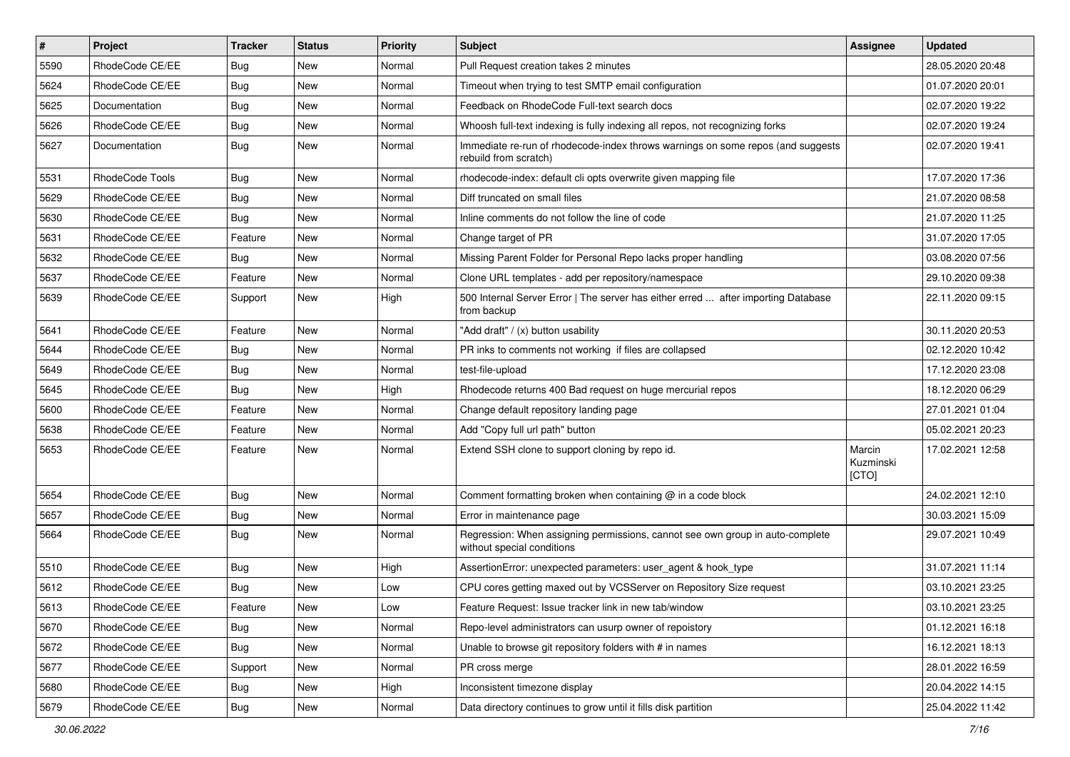| $\pmb{\#}$ | Project         | <b>Tracker</b> | <b>Status</b> | Priority | Subject                                                                                                     | Assignee                     | <b>Updated</b>   |
|------------|-----------------|----------------|---------------|----------|-------------------------------------------------------------------------------------------------------------|------------------------------|------------------|
| 5590       | RhodeCode CE/EE | <b>Bug</b>     | New           | Normal   | Pull Request creation takes 2 minutes                                                                       |                              | 28.05.2020 20:48 |
| 5624       | RhodeCode CE/EE | Bug            | New           | Normal   | Timeout when trying to test SMTP email configuration                                                        |                              | 01.07.2020 20:01 |
| 5625       | Documentation   | Bug            | New           | Normal   | Feedback on RhodeCode Full-text search docs                                                                 |                              | 02.07.2020 19:22 |
| 5626       | RhodeCode CE/EE | <b>Bug</b>     | New           | Normal   | Whoosh full-text indexing is fully indexing all repos, not recognizing forks                                |                              | 02.07.2020 19:24 |
| 5627       | Documentation   | Bug            | <b>New</b>    | Normal   | Immediate re-run of rhodecode-index throws warnings on some repos (and suggests<br>rebuild from scratch)    |                              | 02.07.2020 19:41 |
| 5531       | RhodeCode Tools | Bug            | <b>New</b>    | Normal   | rhodecode-index: default cli opts overwrite given mapping file                                              |                              | 17.07.2020 17:36 |
| 5629       | RhodeCode CE/EE | <b>Bug</b>     | New           | Normal   | Diff truncated on small files                                                                               |                              | 21.07.2020 08:58 |
| 5630       | RhodeCode CE/EE | <b>Bug</b>     | <b>New</b>    | Normal   | Inline comments do not follow the line of code                                                              |                              | 21.07.2020 11:25 |
| 5631       | RhodeCode CE/EE | Feature        | <b>New</b>    | Normal   | Change target of PR                                                                                         |                              | 31.07.2020 17:05 |
| 5632       | RhodeCode CE/EE | Bug            | New           | Normal   | Missing Parent Folder for Personal Repo lacks proper handling                                               |                              | 03.08.2020 07:56 |
| 5637       | RhodeCode CE/EE | Feature        | New           | Normal   | Clone URL templates - add per repository/namespace                                                          |                              | 29.10.2020 09:38 |
| 5639       | RhodeCode CE/EE | Support        | <b>New</b>    | High     | 500 Internal Server Error   The server has either erred  after importing Database<br>from backup            |                              | 22.11.2020 09:15 |
| 5641       | RhodeCode CE/EE | Feature        | <b>New</b>    | Normal   | "Add draft" / (x) button usability                                                                          |                              | 30.11.2020 20:53 |
| 5644       | RhodeCode CE/EE | Bug            | New           | Normal   | PR inks to comments not working if files are collapsed                                                      |                              | 02.12.2020 10:42 |
| 5649       | RhodeCode CE/EE | Bug            | New           | Normal   | test-file-upload                                                                                            |                              | 17.12.2020 23:08 |
| 5645       | RhodeCode CE/EE | Bug            | <b>New</b>    | High     | Rhodecode returns 400 Bad request on huge mercurial repos                                                   |                              | 18.12.2020 06:29 |
| 5600       | RhodeCode CE/EE | Feature        | New           | Normal   | Change default repository landing page                                                                      |                              | 27.01.2021 01:04 |
| 5638       | RhodeCode CE/EE | Feature        | New           | Normal   | Add "Copy full url path" button                                                                             |                              | 05.02.2021 20:23 |
| 5653       | RhodeCode CE/EE | Feature        | <b>New</b>    | Normal   | Extend SSH clone to support cloning by repo id.                                                             | Marcin<br>Kuzminski<br>[CTO] | 17.02.2021 12:58 |
| 5654       | RhodeCode CE/EE | Bug            | New           | Normal   | Comment formatting broken when containing $@$ in a code block                                               |                              | 24.02.2021 12:10 |
| 5657       | RhodeCode CE/EE | Bug            | <b>New</b>    | Normal   | Error in maintenance page                                                                                   |                              | 30.03.2021 15:09 |
| 5664       | RhodeCode CE/EE | Bug            | <b>New</b>    | Normal   | Regression: When assigning permissions, cannot see own group in auto-complete<br>without special conditions |                              | 29.07.2021 10:49 |
| 5510       | RhodeCode CE/EE | Bug            | New           | High     | AssertionError: unexpected parameters: user_agent & hook_type                                               |                              | 31.07.2021 11:14 |
| 5612       | RhodeCode CE/EE | Bug            | <b>New</b>    | Low      | CPU cores getting maxed out by VCSServer on Repository Size request                                         |                              | 03.10.2021 23:25 |
| 5613       | RhodeCode CE/EE | Feature        | New           | Low      | Feature Request: Issue tracker link in new tab/window                                                       |                              | 03.10.2021 23:25 |
| 5670       | RhodeCode CE/EE | Bug            | <b>New</b>    | Normal   | Repo-level administrators can usurp owner of repoistory                                                     |                              | 01.12.2021 16:18 |
| 5672       | RhodeCode CE/EE | Bug            | New           | Normal   | Unable to browse git repository folders with # in names                                                     |                              | 16.12.2021 18:13 |
| 5677       | RhodeCode CE/EE | Support        | New           | Normal   | PR cross merge                                                                                              |                              | 28.01.2022 16:59 |
| 5680       | RhodeCode CE/EE | Bug            | New           | High     | Inconsistent timezone display                                                                               |                              | 20.04.2022 14:15 |
| 5679       | RhodeCode CE/EE | <b>Bug</b>     | New           | Normal   | Data directory continues to grow until it fills disk partition                                              |                              | 25.04.2022 11:42 |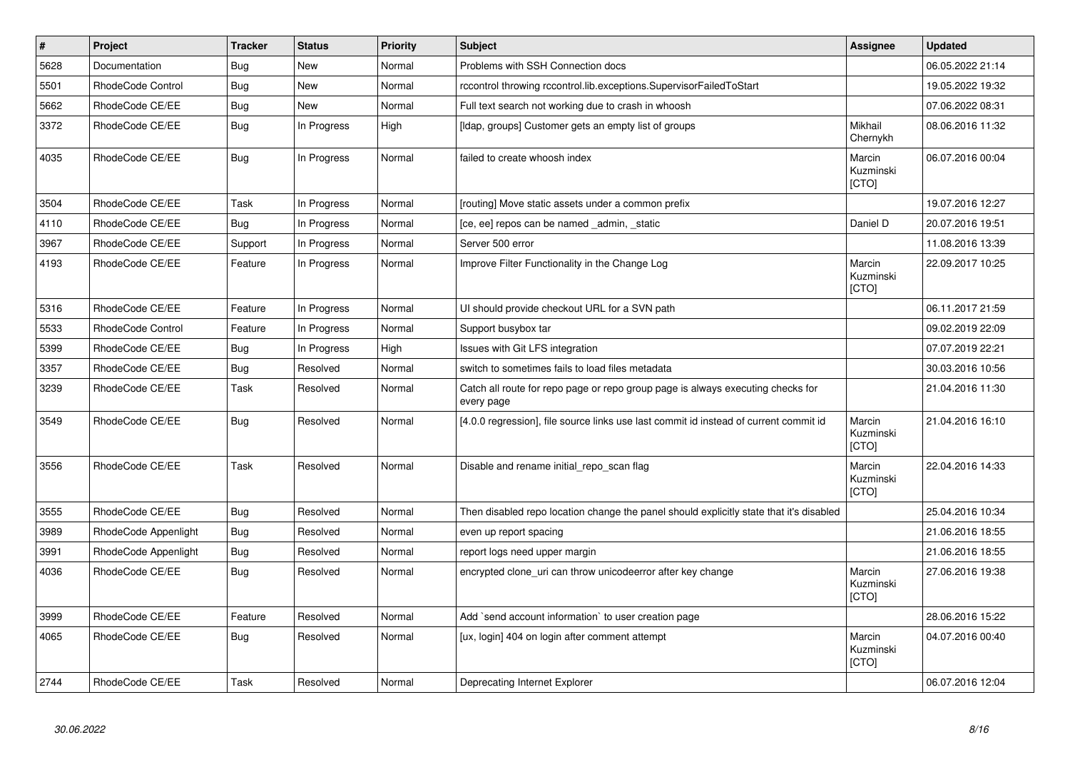| $\vert$ # | Project              | <b>Tracker</b> | <b>Status</b> | <b>Priority</b> | <b>Subject</b>                                                                                | Assignee                     | <b>Updated</b>   |
|-----------|----------------------|----------------|---------------|-----------------|-----------------------------------------------------------------------------------------------|------------------------------|------------------|
| 5628      | Documentation        | Bug            | <b>New</b>    | Normal          | Problems with SSH Connection docs                                                             |                              | 06.05.2022 21:14 |
| 5501      | RhodeCode Control    | Bug            | <b>New</b>    | Normal          | rccontrol throwing rccontrol.lib.exceptions.SupervisorFailedToStart                           |                              | 19.05.2022 19:32 |
| 5662      | RhodeCode CE/EE      | <b>Bug</b>     | <b>New</b>    | Normal          | Full text search not working due to crash in whoosh                                           |                              | 07.06.2022 08:31 |
| 3372      | RhodeCode CE/EE      | Bug            | In Progress   | High            | Ildap, groups] Customer gets an empty list of groups                                          | Mikhail<br>Chernykh          | 08.06.2016 11:32 |
| 4035      | RhodeCode CE/EE      | <b>Bug</b>     | In Progress   | Normal          | failed to create whoosh index                                                                 | Marcin<br>Kuzminski<br>[CTO] | 06.07.2016 00:04 |
| 3504      | RhodeCode CE/EE      | Task           | In Progress   | Normal          | [routing] Move static assets under a common prefix                                            |                              | 19.07.2016 12:27 |
| 4110      | RhodeCode CE/EE      | Bug            | In Progress   | Normal          | [ce, ee] repos can be named _admin, _static                                                   | Daniel D                     | 20.07.2016 19:51 |
| 3967      | RhodeCode CE/EE      | Support        | In Progress   | Normal          | Server 500 error                                                                              |                              | 11.08.2016 13:39 |
| 4193      | RhodeCode CE/EE      | Feature        | In Progress   | Normal          | Improve Filter Functionality in the Change Log                                                | Marcin<br>Kuzminski<br>[CTO] | 22.09.2017 10:25 |
| 5316      | RhodeCode CE/EE      | Feature        | In Progress   | Normal          | UI should provide checkout URL for a SVN path                                                 |                              | 06.11.2017 21:59 |
| 5533      | RhodeCode Control    | Feature        | In Progress   | Normal          | Support busybox tar                                                                           |                              | 09.02.2019 22:09 |
| 5399      | RhodeCode CE/EE      | Bug            | In Progress   | High            | Issues with Git LFS integration                                                               |                              | 07.07.2019 22:21 |
| 3357      | RhodeCode CE/EE      | <b>Bug</b>     | Resolved      | Normal          | switch to sometimes fails to load files metadata                                              |                              | 30.03.2016 10:56 |
| 3239      | RhodeCode CE/EE      | Task           | Resolved      | Normal          | Catch all route for repo page or repo group page is always executing checks for<br>every page |                              | 21.04.2016 11:30 |
| 3549      | RhodeCode CE/EE      | <b>Bug</b>     | Resolved      | Normal          | [4.0.0 regression], file source links use last commit id instead of current commit id         | Marcin<br>Kuzminski<br>[CTO] | 21.04.2016 16:10 |
| 3556      | RhodeCode CE/EE      | Task           | Resolved      | Normal          | Disable and rename initial repo scan flag                                                     | Marcin<br>Kuzminski<br>[CTO] | 22.04.2016 14:33 |
| 3555      | RhodeCode CE/EE      | <b>Bug</b>     | Resolved      | Normal          | Then disabled repo location change the panel should explicitly state that it's disabled       |                              | 25.04.2016 10:34 |
| 3989      | RhodeCode Appenlight | Bug            | Resolved      | Normal          | even up report spacing                                                                        |                              | 21.06.2016 18:55 |
| 3991      | RhodeCode Appenlight | Bug            | Resolved      | Normal          | report logs need upper margin                                                                 |                              | 21.06.2016 18:55 |
| 4036      | RhodeCode CE/EE      | Bug            | Resolved      | Normal          | encrypted clone uri can throw unicodeerror after key change                                   | Marcin<br>Kuzminski<br>[CTO] | 27.06.2016 19:38 |
| 3999      | RhodeCode CE/EE      | Feature        | Resolved      | Normal          | Add `send account information` to user creation page                                          |                              | 28.06.2016 15:22 |
| 4065      | RhodeCode CE/EE      | Bug            | Resolved      | Normal          | [ux, login] 404 on login after comment attempt                                                | Marcin<br>Kuzminski<br>[CTO] | 04.07.2016 00:40 |
| 2744      | RhodeCode CE/EE      | Task           | Resolved      | Normal          | Deprecating Internet Explorer                                                                 |                              | 06.07.2016 12:04 |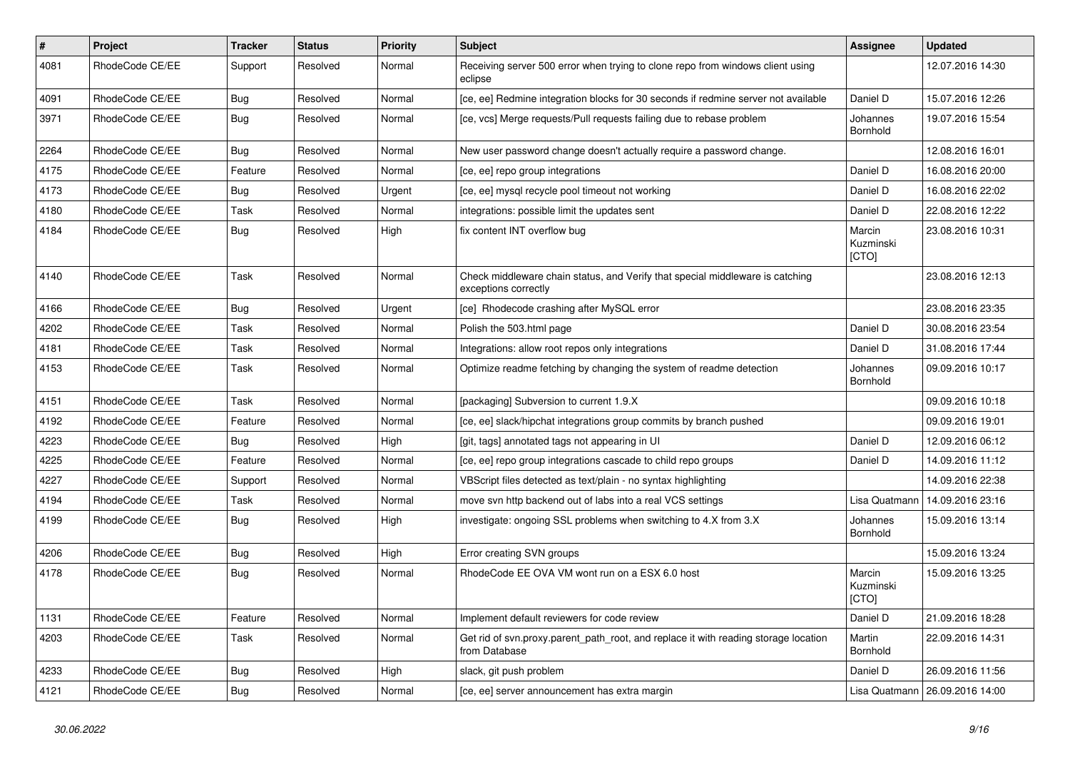| $\vert$ # | Project         | <b>Tracker</b> | <b>Status</b> | <b>Priority</b> | <b>Subject</b>                                                                                        | Assignee                     | <b>Updated</b>   |
|-----------|-----------------|----------------|---------------|-----------------|-------------------------------------------------------------------------------------------------------|------------------------------|------------------|
| 4081      | RhodeCode CE/EE | Support        | Resolved      | Normal          | Receiving server 500 error when trying to clone repo from windows client using<br>eclipse             |                              | 12.07.2016 14:30 |
| 4091      | RhodeCode CE/EE | Bug            | Resolved      | Normal          | [ce, ee] Redmine integration blocks for 30 seconds if redmine server not available                    | Daniel D                     | 15.07.2016 12:26 |
| 3971      | RhodeCode CE/EE | Bug            | Resolved      | Normal          | [ce, vcs] Merge requests/Pull requests failing due to rebase problem                                  | Johannes<br>Bornhold         | 19.07.2016 15:54 |
| 2264      | RhodeCode CE/EE | Bug            | Resolved      | Normal          | New user password change doesn't actually require a password change.                                  |                              | 12.08.2016 16:01 |
| 4175      | RhodeCode CE/EE | Feature        | Resolved      | Normal          | [ce, ee] repo group integrations                                                                      | Daniel D                     | 16.08.2016 20:00 |
| 4173      | RhodeCode CE/EE | Bug            | Resolved      | Urgent          | [ce, ee] mysql recycle pool timeout not working                                                       | Daniel D                     | 16.08.2016 22:02 |
| 4180      | RhodeCode CE/EE | Task           | Resolved      | Normal          | integrations: possible limit the updates sent                                                         | Daniel D                     | 22.08.2016 12:22 |
| 4184      | RhodeCode CE/EE | Bug            | Resolved      | High            | fix content INT overflow bug                                                                          | Marcin<br>Kuzminski<br>[CTO] | 23.08.2016 10:31 |
| 4140      | RhodeCode CE/EE | Task           | Resolved      | Normal          | Check middleware chain status, and Verify that special middleware is catching<br>exceptions correctly |                              | 23.08.2016 12:13 |
| 4166      | RhodeCode CE/EE | Bug            | Resolved      | Urgent          | [ce] Rhodecode crashing after MySQL error                                                             |                              | 23.08.2016 23:35 |
| 4202      | RhodeCode CE/EE | Task           | Resolved      | Normal          | Polish the 503.html page                                                                              | Daniel D                     | 30.08.2016 23:54 |
| 4181      | RhodeCode CE/EE | Task           | Resolved      | Normal          | Integrations: allow root repos only integrations                                                      | Daniel D                     | 31.08.2016 17:44 |
| 4153      | RhodeCode CE/EE | Task           | Resolved      | Normal          | Optimize readme fetching by changing the system of readme detection                                   | Johannes<br>Bornhold         | 09.09.2016 10:17 |
| 4151      | RhodeCode CE/EE | Task           | Resolved      | Normal          | [packaging] Subversion to current 1.9.X                                                               |                              | 09.09.2016 10:18 |
| 4192      | RhodeCode CE/EE | Feature        | Resolved      | Normal          | [ce, ee] slack/hipchat integrations group commits by branch pushed                                    |                              | 09.09.2016 19:01 |
| 4223      | RhodeCode CE/EE | Bug            | Resolved      | High            | [git, tags] annotated tags not appearing in UI                                                        | Daniel D                     | 12.09.2016 06:12 |
| 4225      | RhodeCode CE/EE | Feature        | Resolved      | Normal          | [ce, ee] repo group integrations cascade to child repo groups                                         | Daniel D                     | 14.09.2016 11:12 |
| 4227      | RhodeCode CE/EE | Support        | Resolved      | Normal          | VBScript files detected as text/plain - no syntax highlighting                                        |                              | 14.09.2016 22:38 |
| 4194      | RhodeCode CE/EE | Task           | Resolved      | Normal          | move svn http backend out of labs into a real VCS settings                                            | Lisa Quatmann                | 14.09.2016 23:16 |
| 4199      | RhodeCode CE/EE | Bug            | Resolved      | High            | investigate: ongoing SSL problems when switching to 4.X from 3.X                                      | Johannes<br>Bornhold         | 15.09.2016 13:14 |
| 4206      | RhodeCode CE/EE | Bug            | Resolved      | High            | Error creating SVN groups                                                                             |                              | 15.09.2016 13:24 |
| 4178      | RhodeCode CE/EE | Bug            | Resolved      | Normal          | RhodeCode EE OVA VM wont run on a ESX 6.0 host                                                        | Marcin<br>Kuzminski<br>[CTO] | 15.09.2016 13:25 |
| 1131      | RhodeCode CE/EE | Feature        | Resolved      | Normal          | Implement default reviewers for code review                                                           | Daniel D                     | 21.09.2016 18:28 |
| 4203      | RhodeCode CE/EE | Task           | Resolved      | Normal          | Get rid of svn.proxy.parent_path_root, and replace it with reading storage location<br>from Database  | Martin<br>Bornhold           | 22.09.2016 14:31 |
| 4233      | RhodeCode CE/EE | Bug            | Resolved      | High            | slack, git push problem                                                                               | Daniel D                     | 26.09.2016 11:56 |
| 4121      | RhodeCode CE/EE | <b>Bug</b>     | Resolved      | Normal          | [ce, ee] server announcement has extra margin                                                         | Lisa Quatmann                | 26.09.2016 14:00 |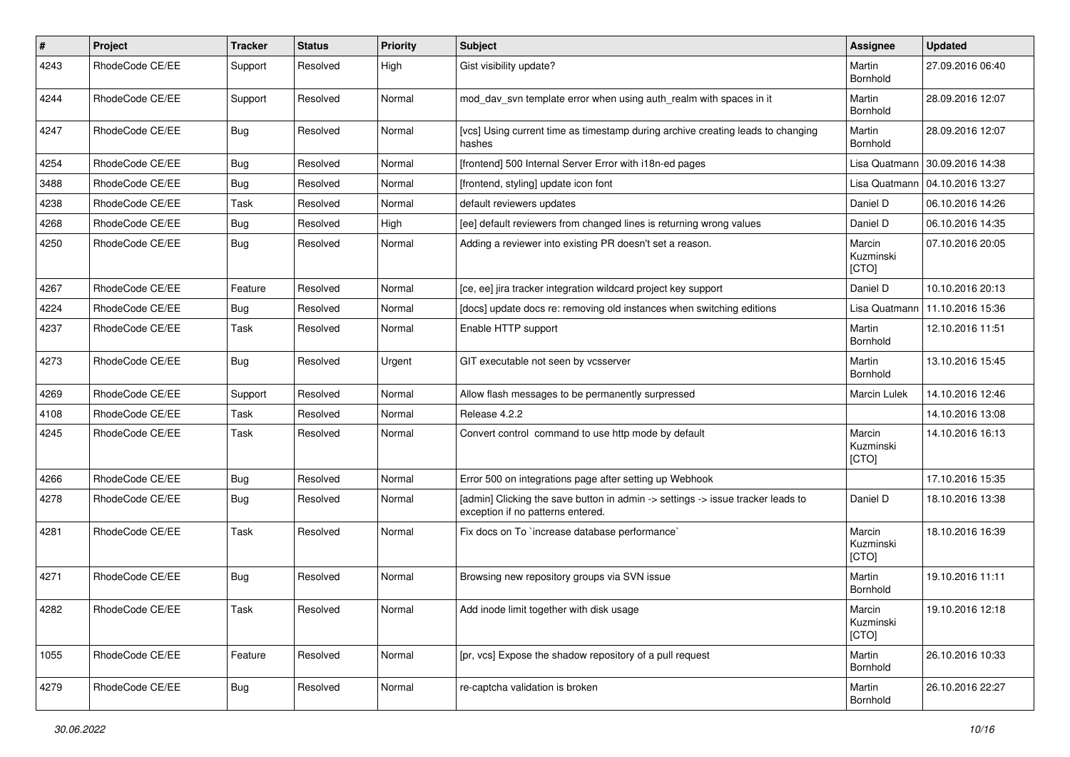| $\pmb{\#}$ | Project         | <b>Tracker</b> | <b>Status</b> | <b>Priority</b> | Subject                                                                                                              | <b>Assignee</b>              | <b>Updated</b>   |
|------------|-----------------|----------------|---------------|-----------------|----------------------------------------------------------------------------------------------------------------------|------------------------------|------------------|
| 4243       | RhodeCode CE/EE | Support        | Resolved      | High            | Gist visibility update?                                                                                              | Martin<br>Bornhold           | 27.09.2016 06:40 |
| 4244       | RhodeCode CE/EE | Support        | Resolved      | Normal          | mod_dav_svn template error when using auth_realm with spaces in it                                                   | Martin<br>Bornhold           | 28.09.2016 12:07 |
| 4247       | RhodeCode CE/EE | Bug            | Resolved      | Normal          | [vcs] Using current time as timestamp during archive creating leads to changing<br>hashes                            | Martin<br>Bornhold           | 28.09.2016 12:07 |
| 4254       | RhodeCode CE/EE | Bug            | Resolved      | Normal          | [frontend] 500 Internal Server Error with i18n-ed pages                                                              | Lisa Quatmann                | 30.09.2016 14:38 |
| 3488       | RhodeCode CE/EE | Bug            | Resolved      | Normal          | [frontend, styling] update icon font                                                                                 | Lisa Quatmann                | 04.10.2016 13:27 |
| 4238       | RhodeCode CE/EE | <b>Task</b>    | Resolved      | Normal          | default reviewers updates                                                                                            | Daniel D                     | 06.10.2016 14:26 |
| 4268       | RhodeCode CE/EE | Bug            | Resolved      | High            | [ee] default reviewers from changed lines is returning wrong values                                                  | Daniel D                     | 06.10.2016 14:35 |
| 4250       | RhodeCode CE/EE | Bug            | Resolved      | Normal          | Adding a reviewer into existing PR doesn't set a reason.                                                             | Marcin<br>Kuzminski<br>[CTO] | 07.10.2016 20:05 |
| 4267       | RhodeCode CE/EE | Feature        | Resolved      | Normal          | [ce, ee] jira tracker integration wildcard project key support                                                       | Daniel D                     | 10.10.2016 20:13 |
| 4224       | RhodeCode CE/EE | Bug            | Resolved      | Normal          | [docs] update docs re: removing old instances when switching editions                                                | Lisa Quatmann                | 11.10.2016 15:36 |
| 4237       | RhodeCode CE/EE | Task           | Resolved      | Normal          | Enable HTTP support                                                                                                  | Martin<br>Bornhold           | 12.10.2016 11:51 |
| 4273       | RhodeCode CE/EE | <b>Bug</b>     | Resolved      | Urgent          | GIT executable not seen by vcsserver                                                                                 | Martin<br>Bornhold           | 13.10.2016 15:45 |
| 4269       | RhodeCode CE/EE | Support        | Resolved      | Normal          | Allow flash messages to be permanently surpressed                                                                    | Marcin Lulek                 | 14.10.2016 12:46 |
| 4108       | RhodeCode CE/EE | Task           | Resolved      | Normal          | Release 4.2.2                                                                                                        |                              | 14.10.2016 13:08 |
| 4245       | RhodeCode CE/EE | Task           | Resolved      | Normal          | Convert control command to use http mode by default                                                                  | Marcin<br>Kuzminski<br>[CTO] | 14.10.2016 16:13 |
| 4266       | RhodeCode CE/EE | Bug            | Resolved      | Normal          | Error 500 on integrations page after setting up Webhook                                                              |                              | 17.10.2016 15:35 |
| 4278       | RhodeCode CE/EE | Bug            | Resolved      | Normal          | [admin] Clicking the save button in admin -> settings -> issue tracker leads to<br>exception if no patterns entered. | Daniel D                     | 18.10.2016 13:38 |
| 4281       | RhodeCode CE/EE | Task           | Resolved      | Normal          | Fix docs on To `increase database performance`                                                                       | Marcin<br>Kuzminski<br>[CTO] | 18.10.2016 16:39 |
| 4271       | RhodeCode CE/EE | <b>Bug</b>     | Resolved      | Normal          | Browsing new repository groups via SVN issue                                                                         | Martin<br>Bornhold           | 19.10.2016 11:11 |
| 4282       | RhodeCode CE/EE | Task           | Resolved      | Normal          | Add inode limit together with disk usage                                                                             | Marcin<br>Kuzminski<br>[CTO] | 19.10.2016 12:18 |
| 1055       | RhodeCode CE/EE | Feature        | Resolved      | Normal          | [pr, vcs] Expose the shadow repository of a pull request                                                             | Martin<br>Bornhold           | 26.10.2016 10:33 |
| 4279       | RhodeCode CE/EE | <b>Bug</b>     | Resolved      | Normal          | re-captcha validation is broken                                                                                      | Martin<br>Bornhold           | 26.10.2016 22:27 |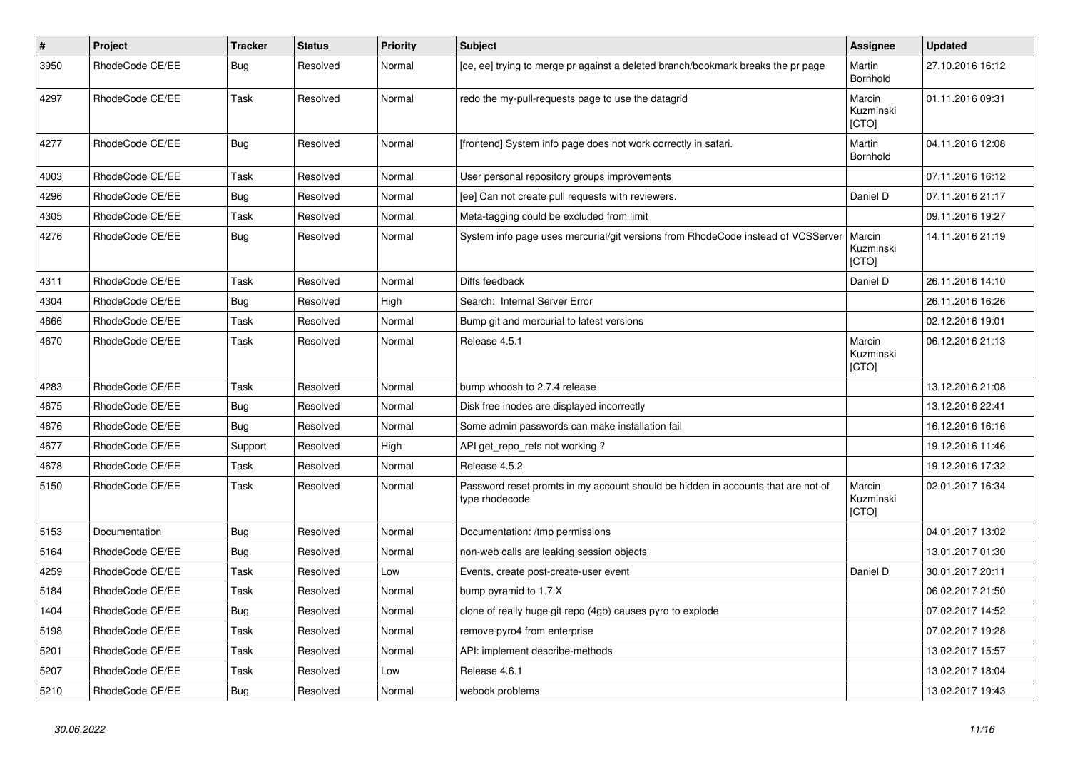| $\vert$ # | Project         | <b>Tracker</b> | <b>Status</b> | <b>Priority</b> | <b>Subject</b>                                                                                     | Assignee                            | <b>Updated</b>   |
|-----------|-----------------|----------------|---------------|-----------------|----------------------------------------------------------------------------------------------------|-------------------------------------|------------------|
| 3950      | RhodeCode CE/EE | <b>Bug</b>     | Resolved      | Normal          | [ce, ee] trying to merge pr against a deleted branch/bookmark breaks the pr page                   | Martin<br>Bornhold                  | 27.10.2016 16:12 |
| 4297      | RhodeCode CE/EE | Task           | Resolved      | Normal          | redo the my-pull-requests page to use the datagrid                                                 | Marcin<br>Kuzminski<br>[CTO]        | 01.11.2016 09:31 |
| 4277      | RhodeCode CE/EE | Bug            | Resolved      | Normal          | [frontend] System info page does not work correctly in safari.                                     | Martin<br>Bornhold                  | 04.11.2016 12:08 |
| 4003      | RhodeCode CE/EE | Task           | Resolved      | Normal          | User personal repository groups improvements                                                       |                                     | 07.11.2016 16:12 |
| 4296      | RhodeCode CE/EE | Bug            | Resolved      | Normal          | [ee] Can not create pull requests with reviewers.                                                  | Daniel D                            | 07.11.2016 21:17 |
| 4305      | RhodeCode CE/EE | Task           | Resolved      | Normal          | Meta-tagging could be excluded from limit                                                          |                                     | 09.11.2016 19:27 |
| 4276      | RhodeCode CE/EE | <b>Bug</b>     | Resolved      | Normal          | System info page uses mercurial/git versions from RhodeCode instead of VCSServer                   | Marcin<br>Kuzminski<br><b>ICTOI</b> | 14.11.2016 21:19 |
| 4311      | RhodeCode CE/EE | Task           | Resolved      | Normal          | Diffs feedback                                                                                     | Daniel D                            | 26.11.2016 14:10 |
| 4304      | RhodeCode CE/EE | Bug            | Resolved      | High            | Search: Internal Server Error                                                                      |                                     | 26.11.2016 16:26 |
| 4666      | RhodeCode CE/EE | Task           | Resolved      | Normal          | Bump git and mercurial to latest versions                                                          |                                     | 02.12.2016 19:01 |
| 4670      | RhodeCode CE/EE | Task           | Resolved      | Normal          | Release 4.5.1                                                                                      | Marcin<br>Kuzminski<br>[CTO]        | 06.12.2016 21:13 |
| 4283      | RhodeCode CE/EE | Task           | Resolved      | Normal          | bump whoosh to 2.7.4 release                                                                       |                                     | 13.12.2016 21:08 |
| 4675      | RhodeCode CE/EE | Bug            | Resolved      | Normal          | Disk free inodes are displayed incorrectly                                                         |                                     | 13.12.2016 22:41 |
| 4676      | RhodeCode CE/EE | Bug            | Resolved      | Normal          | Some admin passwords can make installation fail                                                    |                                     | 16.12.2016 16:16 |
| 4677      | RhodeCode CE/EE | Support        | Resolved      | High            | API get_repo_refs not working?                                                                     |                                     | 19.12.2016 11:46 |
| 4678      | RhodeCode CE/EE | Task           | Resolved      | Normal          | Release 4.5.2                                                                                      |                                     | 19.12.2016 17:32 |
| 5150      | RhodeCode CE/EE | Task           | Resolved      | Normal          | Password reset promts in my account should be hidden in accounts that are not of<br>type rhodecode | Marcin<br>Kuzminski<br>[CTO]        | 02.01.2017 16:34 |
| 5153      | Documentation   | Bug            | Resolved      | Normal          | Documentation: /tmp permissions                                                                    |                                     | 04.01.2017 13:02 |
| 5164      | RhodeCode CE/EE | <b>Bug</b>     | Resolved      | Normal          | non-web calls are leaking session objects                                                          |                                     | 13.01.2017 01:30 |
| 4259      | RhodeCode CE/EE | Task           | Resolved      | Low             | Events, create post-create-user event                                                              | Daniel D                            | 30.01.2017 20:11 |
| 5184      | RhodeCode CE/EE | Task           | Resolved      | Normal          | bump pyramid to 1.7.X                                                                              |                                     | 06.02.2017 21:50 |
| 1404      | RhodeCode CE/EE | <b>Bug</b>     | Resolved      | Normal          | clone of really huge git repo (4gb) causes pyro to explode                                         |                                     | 07.02.2017 14:52 |
| 5198      | RhodeCode CE/EE | Task           | Resolved      | Normal          | remove pyro4 from enterprise                                                                       |                                     | 07.02.2017 19:28 |
| 5201      | RhodeCode CE/EE | Task           | Resolved      | Normal          | API: implement describe-methods                                                                    |                                     | 13.02.2017 15:57 |
| 5207      | RhodeCode CE/EE | Task           | Resolved      | Low             | Release 4.6.1                                                                                      |                                     | 13.02.2017 18:04 |
| 5210      | RhodeCode CE/EE | <b>Bug</b>     | Resolved      | Normal          | webook problems                                                                                    |                                     | 13.02.2017 19:43 |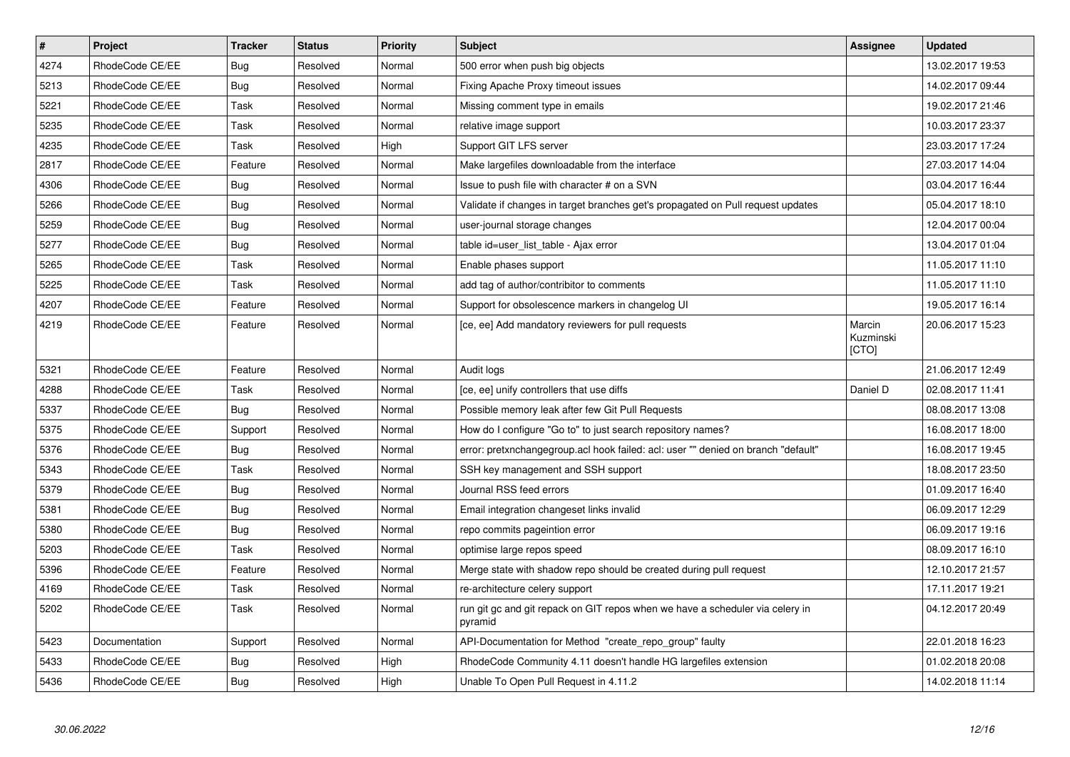| $\overline{\boldsymbol{H}}$ | <b>Project</b>  | <b>Tracker</b> | <b>Status</b> | <b>Priority</b> | <b>Subject</b>                                                                           | Assignee                     | <b>Updated</b>   |
|-----------------------------|-----------------|----------------|---------------|-----------------|------------------------------------------------------------------------------------------|------------------------------|------------------|
| 4274                        | RhodeCode CE/EE | Bug            | Resolved      | Normal          | 500 error when push big objects                                                          |                              | 13.02.2017 19:53 |
| 5213                        | RhodeCode CE/EE | Bug            | Resolved      | Normal          | Fixing Apache Proxy timeout issues                                                       |                              | 14.02.2017 09:44 |
| 5221                        | RhodeCode CE/EE | Task           | Resolved      | Normal          | Missing comment type in emails                                                           |                              | 19.02.2017 21:46 |
| 5235                        | RhodeCode CE/EE | Task           | Resolved      | Normal          | relative image support                                                                   |                              | 10.03.2017 23:37 |
| 4235                        | RhodeCode CE/EE | Task           | Resolved      | High            | Support GIT LFS server                                                                   |                              | 23.03.2017 17:24 |
| 2817                        | RhodeCode CE/EE | Feature        | Resolved      | Normal          | Make largefiles downloadable from the interface                                          |                              | 27.03.2017 14:04 |
| 4306                        | RhodeCode CE/EE | Bug            | Resolved      | Normal          | Issue to push file with character # on a SVN                                             |                              | 03.04.2017 16:44 |
| 5266                        | RhodeCode CE/EE | Bug            | Resolved      | Normal          | Validate if changes in target branches get's propagated on Pull request updates          |                              | 05.04.2017 18:10 |
| 5259                        | RhodeCode CE/EE | <b>Bug</b>     | Resolved      | Normal          | user-journal storage changes                                                             |                              | 12.04.2017 00:04 |
| 5277                        | RhodeCode CE/EE | Bug            | Resolved      | Normal          | table id=user list table - Ajax error                                                    |                              | 13.04.2017 01:04 |
| 5265                        | RhodeCode CE/EE | Task           | Resolved      | Normal          | Enable phases support                                                                    |                              | 11.05.2017 11:10 |
| 5225                        | RhodeCode CE/EE | Task           | Resolved      | Normal          | add tag of author/contribitor to comments                                                |                              | 11.05.2017 11:10 |
| 4207                        | RhodeCode CE/EE | Feature        | Resolved      | Normal          | Support for obsolescence markers in changelog UI                                         |                              | 19.05.2017 16:14 |
| 4219                        | RhodeCode CE/EE | Feature        | Resolved      | Normal          | [ce, ee] Add mandatory reviewers for pull requests                                       | Marcin<br>Kuzminski<br>[CTO] | 20.06.2017 15:23 |
| 5321                        | RhodeCode CE/EE | Feature        | Resolved      | Normal          | Audit logs                                                                               |                              | 21.06.2017 12:49 |
| 4288                        | RhodeCode CE/EE | Task           | Resolved      | Normal          | [ce, ee] unify controllers that use diffs                                                | Daniel D                     | 02.08.2017 11:41 |
| 5337                        | RhodeCode CE/EE | Bug            | Resolved      | Normal          | Possible memory leak after few Git Pull Requests                                         |                              | 08.08.2017 13:08 |
| 5375                        | RhodeCode CE/EE | Support        | Resolved      | Normal          | How do I configure "Go to" to just search repository names?                              |                              | 16.08.2017 18:00 |
| 5376                        | RhodeCode CE/EE | Bug            | Resolved      | Normal          | error: pretxnchangegroup.acl hook failed: acl: user "" denied on branch "default"        |                              | 16.08.2017 19:45 |
| 5343                        | RhodeCode CE/EE | Task           | Resolved      | Normal          | SSH key management and SSH support                                                       |                              | 18.08.2017 23:50 |
| 5379                        | RhodeCode CE/EE | Bug            | Resolved      | Normal          | Journal RSS feed errors                                                                  |                              | 01.09.2017 16:40 |
| 5381                        | RhodeCode CE/EE | Bug            | Resolved      | Normal          | Email integration changeset links invalid                                                |                              | 06.09.2017 12:29 |
| 5380                        | RhodeCode CE/EE | <b>Bug</b>     | Resolved      | Normal          | repo commits pageintion error                                                            |                              | 06.09.2017 19:16 |
| 5203                        | RhodeCode CE/EE | Task           | Resolved      | Normal          | optimise large repos speed                                                               |                              | 08.09.2017 16:10 |
| 5396                        | RhodeCode CE/EE | Feature        | Resolved      | Normal          | Merge state with shadow repo should be created during pull request                       |                              | 12.10.2017 21:57 |
| 4169                        | RhodeCode CE/EE | Task           | Resolved      | Normal          | re-architecture celery support                                                           |                              | 17.11.2017 19:21 |
| 5202                        | RhodeCode CE/EE | Task           | Resolved      | Normal          | run git gc and git repack on GIT repos when we have a scheduler via celery in<br>pyramid |                              | 04.12.2017 20:49 |
| 5423                        | Documentation   | Support        | Resolved      | Normal          | API-Documentation for Method "create repo group" faulty                                  |                              | 22.01.2018 16:23 |
| 5433                        | RhodeCode CE/EE | <b>Bug</b>     | Resolved      | High            | RhodeCode Community 4.11 doesn't handle HG largefiles extension                          |                              | 01.02.2018 20:08 |
| 5436                        | RhodeCode CE/EE | Bug            | Resolved      | High            | Unable To Open Pull Request in 4.11.2                                                    |                              | 14.02.2018 11:14 |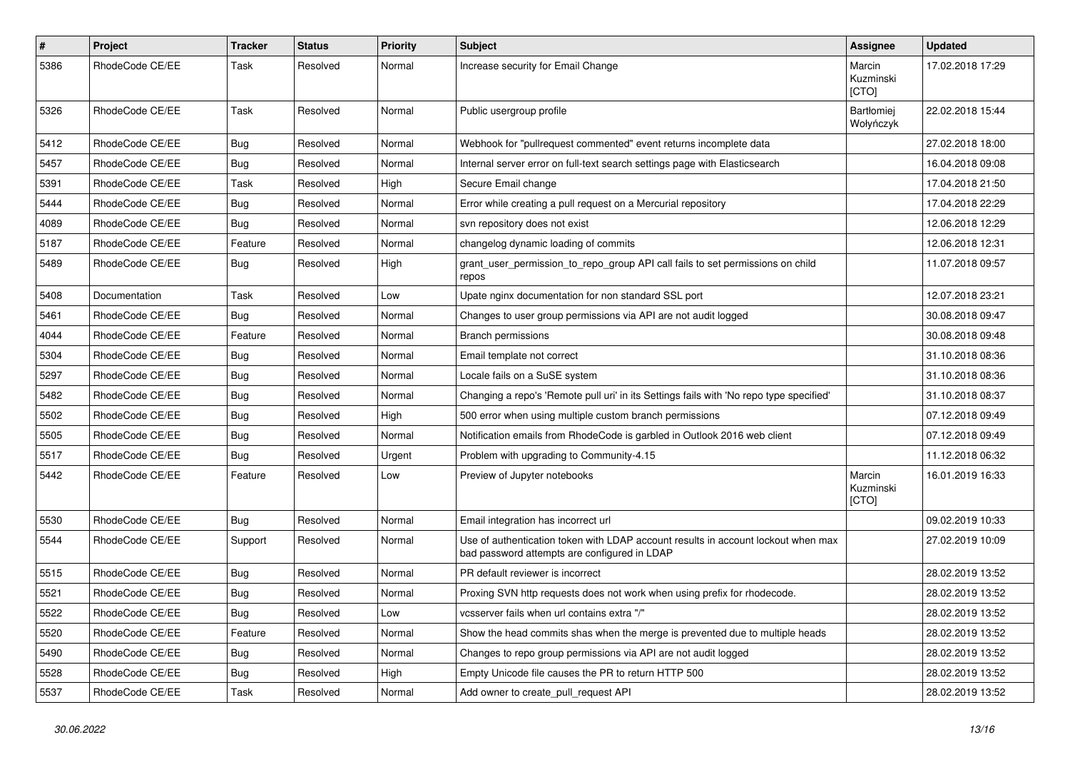| $\pmb{\#}$ | Project         | <b>Tracker</b> | <b>Status</b> | <b>Priority</b> | Subject                                                                                                                           | Assignee                     | <b>Updated</b>   |
|------------|-----------------|----------------|---------------|-----------------|-----------------------------------------------------------------------------------------------------------------------------------|------------------------------|------------------|
| 5386       | RhodeCode CE/EE | Task           | Resolved      | Normal          | Increase security for Email Change                                                                                                | Marcin<br>Kuzminski<br>[CTO] | 17.02.2018 17:29 |
| 5326       | RhodeCode CE/EE | Task           | Resolved      | Normal          | Public usergroup profile                                                                                                          | Bartłomiej<br>Wołyńczyk      | 22.02.2018 15:44 |
| 5412       | RhodeCode CE/EE | Bug            | Resolved      | Normal          | Webhook for "pullrequest commented" event returns incomplete data                                                                 |                              | 27.02.2018 18:00 |
| 5457       | RhodeCode CE/EE | Bug            | Resolved      | Normal          | Internal server error on full-text search settings page with Elasticsearch                                                        |                              | 16.04.2018 09:08 |
| 5391       | RhodeCode CE/EE | Task           | Resolved      | High            | Secure Email change                                                                                                               |                              | 17.04.2018 21:50 |
| 5444       | RhodeCode CE/EE | Bug            | Resolved      | Normal          | Error while creating a pull request on a Mercurial repository                                                                     |                              | 17.04.2018 22:29 |
| 4089       | RhodeCode CE/EE | Bug            | Resolved      | Normal          | svn repository does not exist                                                                                                     |                              | 12.06.2018 12:29 |
| 5187       | RhodeCode CE/EE | Feature        | Resolved      | Normal          | changelog dynamic loading of commits                                                                                              |                              | 12.06.2018 12:31 |
| 5489       | RhodeCode CE/EE | <b>Bug</b>     | Resolved      | High            | grant_user_permission_to_repo_group API call fails to set permissions on child<br>repos                                           |                              | 11.07.2018 09:57 |
| 5408       | Documentation   | Task           | Resolved      | Low             | Upate nginx documentation for non standard SSL port                                                                               |                              | 12.07.2018 23:21 |
| 5461       | RhodeCode CE/EE | <b>Bug</b>     | Resolved      | Normal          | Changes to user group permissions via API are not audit logged                                                                    |                              | 30.08.2018 09:47 |
| 4044       | RhodeCode CE/EE | Feature        | Resolved      | Normal          | Branch permissions                                                                                                                |                              | 30.08.2018 09:48 |
| 5304       | RhodeCode CE/EE | Bug            | Resolved      | Normal          | Email template not correct                                                                                                        |                              | 31.10.2018 08:36 |
| 5297       | RhodeCode CE/EE | Bug            | Resolved      | Normal          | Locale fails on a SuSE system                                                                                                     |                              | 31.10.2018 08:36 |
| 5482       | RhodeCode CE/EE | <b>Bug</b>     | Resolved      | Normal          | Changing a repo's 'Remote pull uri' in its Settings fails with 'No repo type specified'                                           |                              | 31.10.2018 08:37 |
| 5502       | RhodeCode CE/EE | Bug            | Resolved      | High            | 500 error when using multiple custom branch permissions                                                                           |                              | 07.12.2018 09:49 |
| 5505       | RhodeCode CE/EE | Bug            | Resolved      | Normal          | Notification emails from RhodeCode is garbled in Outlook 2016 web client                                                          |                              | 07.12.2018 09:49 |
| 5517       | RhodeCode CE/EE | <b>Bug</b>     | Resolved      | Urgent          | Problem with upgrading to Community-4.15                                                                                          |                              | 11.12.2018 06:32 |
| 5442       | RhodeCode CE/EE | Feature        | Resolved      | Low             | Preview of Jupyter notebooks                                                                                                      | Marcin<br>Kuzminski<br>[CTO] | 16.01.2019 16:33 |
| 5530       | RhodeCode CE/EE | Bug            | Resolved      | Normal          | Email integration has incorrect url                                                                                               |                              | 09.02.2019 10:33 |
| 5544       | RhodeCode CE/EE | Support        | Resolved      | Normal          | Use of authentication token with LDAP account results in account lockout when max<br>bad password attempts are configured in LDAP |                              | 27.02.2019 10:09 |
| 5515       | RhodeCode CE/EE | Bug            | Resolved      | Normal          | PR default reviewer is incorrect                                                                                                  |                              | 28.02.2019 13:52 |
| 5521       | RhodeCode CE/EE | Bug            | Resolved      | Normal          | Proxing SVN http requests does not work when using prefix for rhodecode.                                                          |                              | 28.02.2019 13:52 |
| 5522       | RhodeCode CE/EE | Bug            | Resolved      | Low             | vcsserver fails when url contains extra "/"                                                                                       |                              | 28.02.2019 13:52 |
| 5520       | RhodeCode CE/EE | Feature        | Resolved      | Normal          | Show the head commits shas when the merge is prevented due to multiple heads                                                      |                              | 28.02.2019 13:52 |
| 5490       | RhodeCode CE/EE | Bug            | Resolved      | Normal          | Changes to repo group permissions via API are not audit logged                                                                    |                              | 28.02.2019 13:52 |
| 5528       | RhodeCode CE/EE | <b>Bug</b>     | Resolved      | High            | Empty Unicode file causes the PR to return HTTP 500                                                                               |                              | 28.02.2019 13:52 |
| 5537       | RhodeCode CE/EE | Task           | Resolved      | Normal          | Add owner to create_pull_request API                                                                                              |                              | 28.02.2019 13:52 |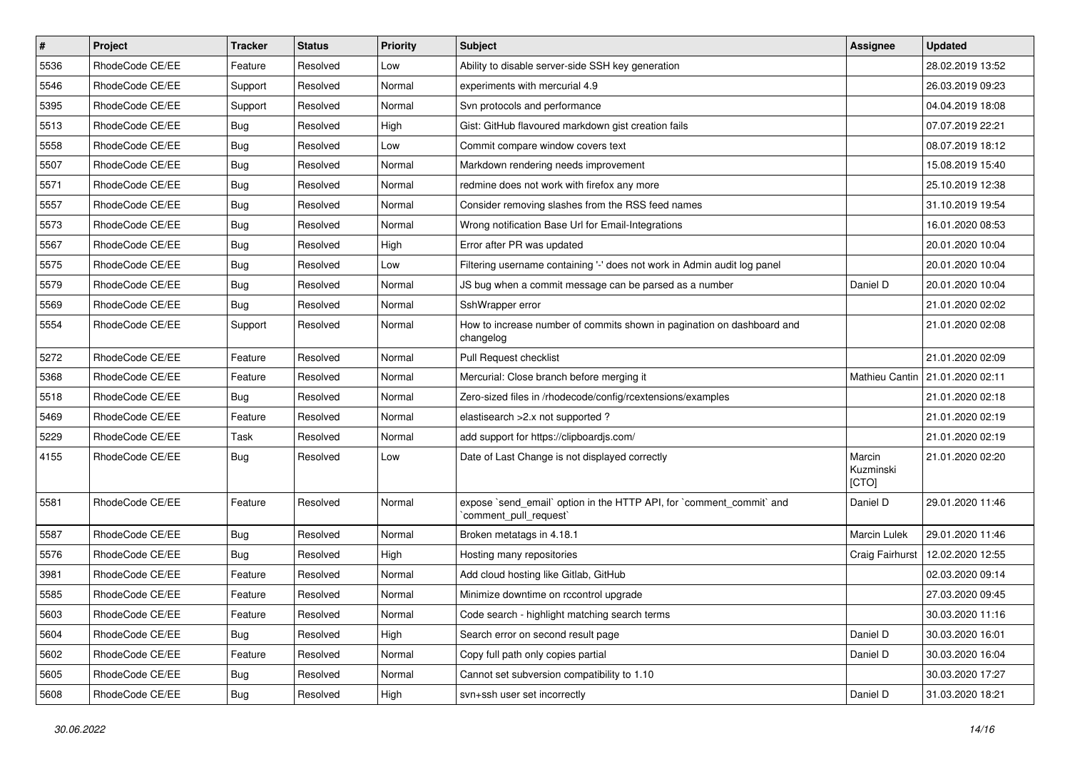| $\sharp$ | Project         | <b>Tracker</b> | <b>Status</b> | <b>Priority</b> | Subject                                                                                        | <b>Assignee</b>              | <b>Updated</b>                    |
|----------|-----------------|----------------|---------------|-----------------|------------------------------------------------------------------------------------------------|------------------------------|-----------------------------------|
| 5536     | RhodeCode CE/EE | Feature        | Resolved      | Low             | Ability to disable server-side SSH key generation                                              |                              | 28.02.2019 13:52                  |
| 5546     | RhodeCode CE/EE | Support        | Resolved      | Normal          | experiments with mercurial 4.9                                                                 |                              | 26.03.2019 09:23                  |
| 5395     | RhodeCode CE/EE | Support        | Resolved      | Normal          | Svn protocols and performance                                                                  |                              | 04.04.2019 18:08                  |
| 5513     | RhodeCode CE/EE | Bug            | Resolved      | High            | Gist: GitHub flavoured markdown gist creation fails                                            |                              | 07.07.2019 22:21                  |
| 5558     | RhodeCode CE/EE | Bug            | Resolved      | Low             | Commit compare window covers text                                                              |                              | 08.07.2019 18:12                  |
| 5507     | RhodeCode CE/EE | <b>Bug</b>     | Resolved      | Normal          | Markdown rendering needs improvement                                                           |                              | 15.08.2019 15:40                  |
| 5571     | RhodeCode CE/EE | Bug            | Resolved      | Normal          | redmine does not work with firefox any more                                                    |                              | 25.10.2019 12:38                  |
| 5557     | RhodeCode CE/EE | Bug            | Resolved      | Normal          | Consider removing slashes from the RSS feed names                                              |                              | 31.10.2019 19:54                  |
| 5573     | RhodeCode CE/EE | <b>Bug</b>     | Resolved      | Normal          | Wrong notification Base Url for Email-Integrations                                             |                              | 16.01.2020 08:53                  |
| 5567     | RhodeCode CE/EE | Bug            | Resolved      | High            | Error after PR was updated                                                                     |                              | 20.01.2020 10:04                  |
| 5575     | RhodeCode CE/EE | <b>Bug</b>     | Resolved      | Low             | Filtering username containing '-' does not work in Admin audit log panel                       |                              | 20.01.2020 10:04                  |
| 5579     | RhodeCode CE/EE | Bug            | Resolved      | Normal          | JS bug when a commit message can be parsed as a number                                         | Daniel D                     | 20.01.2020 10:04                  |
| 5569     | RhodeCode CE/EE | Bug            | Resolved      | Normal          | SshWrapper error                                                                               |                              | 21.01.2020 02:02                  |
| 5554     | RhodeCode CE/EE | Support        | Resolved      | Normal          | How to increase number of commits shown in pagination on dashboard and<br>changelog            |                              | 21.01.2020 02:08                  |
| 5272     | RhodeCode CE/EE | Feature        | Resolved      | Normal          | Pull Request checklist                                                                         |                              | 21.01.2020 02:09                  |
| 5368     | RhodeCode CE/EE | Feature        | Resolved      | Normal          | Mercurial: Close branch before merging it                                                      |                              | Mathieu Cantin   21.01.2020 02:11 |
| 5518     | RhodeCode CE/EE | <b>Bug</b>     | Resolved      | Normal          | Zero-sized files in /rhodecode/config/rcextensions/examples                                    |                              | 21.01.2020 02:18                  |
| 5469     | RhodeCode CE/EE | Feature        | Resolved      | Normal          | elastisearch > 2.x not supported ?                                                             |                              | 21.01.2020 02:19                  |
| 5229     | RhodeCode CE/EE | Task           | Resolved      | Normal          | add support for https://clipboardjs.com/                                                       |                              | 21.01.2020 02:19                  |
| 4155     | RhodeCode CE/EE | Bug            | Resolved      | Low             | Date of Last Change is not displayed correctly                                                 | Marcin<br>Kuzminski<br>[CTO] | 21.01.2020 02:20                  |
| 5581     | RhodeCode CE/EE | Feature        | Resolved      | Normal          | expose `send_email` option in the HTTP API, for `comment_commit` and<br>`comment_pull_request` | Daniel D                     | 29.01.2020 11:46                  |
| 5587     | RhodeCode CE/EE | <b>Bug</b>     | Resolved      | Normal          | Broken metatags in 4.18.1                                                                      | Marcin Lulek                 | 29.01.2020 11:46                  |
| 5576     | RhodeCode CE/EE | Bug            | Resolved      | High            | Hosting many repositories                                                                      | Craig Fairhurst              | 12.02.2020 12:55                  |
| 3981     | RhodeCode CE/EE | Feature        | Resolved      | Normal          | Add cloud hosting like Gitlab, GitHub                                                          |                              | 02.03.2020 09:14                  |
| 5585     | RhodeCode CE/EE | Feature        | Resolved      | Normal          | Minimize downtime on rccontrol upgrade                                                         |                              | 27.03.2020 09:45                  |
| 5603     | RhodeCode CE/EE | Feature        | Resolved      | Normal          | Code search - highlight matching search terms                                                  |                              | 30.03.2020 11:16                  |
| 5604     | RhodeCode CE/EE | Bug            | Resolved      | High            | Search error on second result page                                                             | Daniel D                     | 30.03.2020 16:01                  |
| 5602     | RhodeCode CE/EE | Feature        | Resolved      | Normal          | Copy full path only copies partial                                                             | Daniel D                     | 30.03.2020 16:04                  |
| 5605     | RhodeCode CE/EE | Bug            | Resolved      | Normal          | Cannot set subversion compatibility to 1.10                                                    |                              | 30.03.2020 17:27                  |
| 5608     | RhodeCode CE/EE | <b>Bug</b>     | Resolved      | High            | svn+ssh user set incorrectly                                                                   | Daniel D                     | 31.03.2020 18:21                  |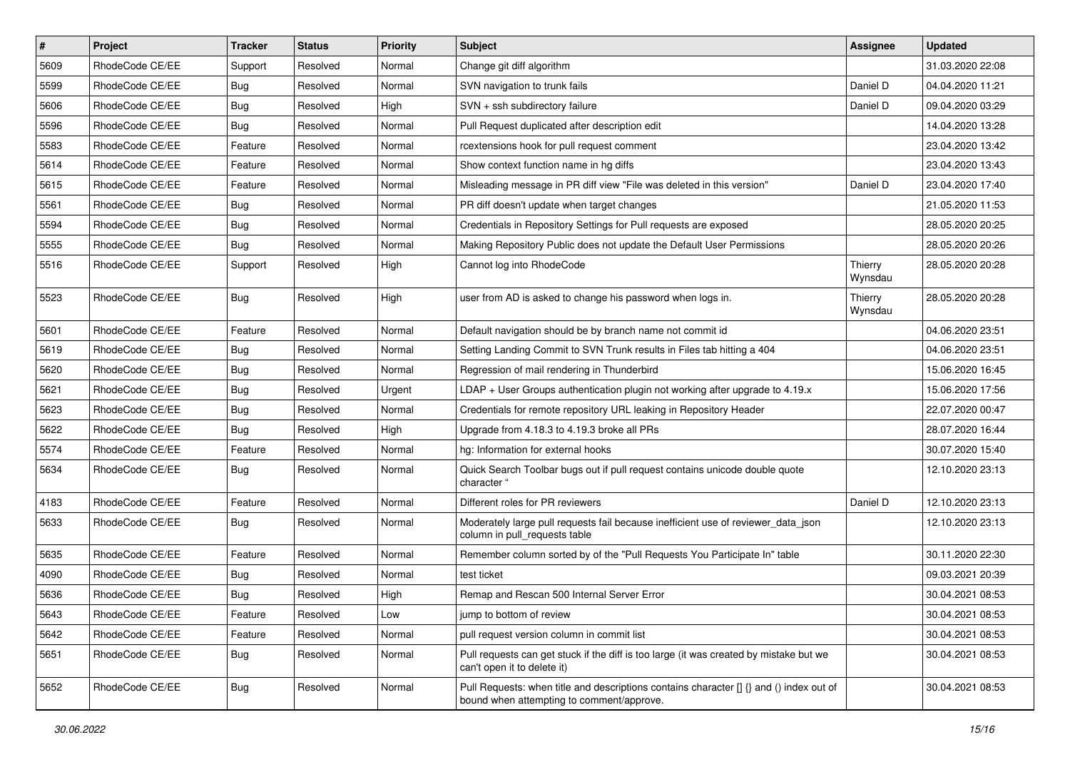| $\vert$ # | Project         | <b>Tracker</b> | <b>Status</b> | <b>Priority</b> | Subject                                                                                                                              | Assignee           | <b>Updated</b>   |
|-----------|-----------------|----------------|---------------|-----------------|--------------------------------------------------------------------------------------------------------------------------------------|--------------------|------------------|
| 5609      | RhodeCode CE/EE | Support        | Resolved      | Normal          | Change git diff algorithm                                                                                                            |                    | 31.03.2020 22:08 |
| 5599      | RhodeCode CE/EE | <b>Bug</b>     | Resolved      | Normal          | SVN navigation to trunk fails                                                                                                        | Daniel D           | 04.04.2020 11:21 |
| 5606      | RhodeCode CE/EE | <b>Bug</b>     | Resolved      | High            | SVN + ssh subdirectory failure                                                                                                       | Daniel D           | 09.04.2020 03:29 |
| 5596      | RhodeCode CE/EE | <b>Bug</b>     | Resolved      | Normal          | Pull Request duplicated after description edit                                                                                       |                    | 14.04.2020 13:28 |
| 5583      | RhodeCode CE/EE | Feature        | Resolved      | Normal          | rcextensions hook for pull request comment                                                                                           |                    | 23.04.2020 13:42 |
| 5614      | RhodeCode CE/EE | Feature        | Resolved      | Normal          | Show context function name in hg diffs                                                                                               |                    | 23.04.2020 13:43 |
| 5615      | RhodeCode CE/EE | Feature        | Resolved      | Normal          | Misleading message in PR diff view "File was deleted in this version"                                                                | Daniel D           | 23.04.2020 17:40 |
| 5561      | RhodeCode CE/EE | <b>Bug</b>     | Resolved      | Normal          | PR diff doesn't update when target changes                                                                                           |                    | 21.05.2020 11:53 |
| 5594      | RhodeCode CE/EE | <b>Bug</b>     | Resolved      | Normal          | Credentials in Repository Settings for Pull requests are exposed                                                                     |                    | 28.05.2020 20:25 |
| 5555      | RhodeCode CE/EE | <b>Bug</b>     | Resolved      | Normal          | Making Repository Public does not update the Default User Permissions                                                                |                    | 28.05.2020 20:26 |
| 5516      | RhodeCode CE/EE | Support        | Resolved      | High            | Cannot log into RhodeCode                                                                                                            | Thierry<br>Wynsdau | 28.05.2020 20:28 |
| 5523      | RhodeCode CE/EE | <b>Bug</b>     | Resolved      | High            | user from AD is asked to change his password when logs in.                                                                           | Thierry<br>Wynsdau | 28.05.2020 20:28 |
| 5601      | RhodeCode CE/EE | Feature        | Resolved      | Normal          | Default navigation should be by branch name not commit id                                                                            |                    | 04.06.2020 23:51 |
| 5619      | RhodeCode CE/EE | <b>Bug</b>     | Resolved      | Normal          | Setting Landing Commit to SVN Trunk results in Files tab hitting a 404                                                               |                    | 04.06.2020 23:51 |
| 5620      | RhodeCode CE/EE | <b>Bug</b>     | Resolved      | Normal          | Regression of mail rendering in Thunderbird                                                                                          |                    | 15.06.2020 16:45 |
| 5621      | RhodeCode CE/EE | <b>Bug</b>     | Resolved      | Urgent          | LDAP + User Groups authentication plugin not working after upgrade to 4.19.x                                                         |                    | 15.06.2020 17:56 |
| 5623      | RhodeCode CE/EE | <b>Bug</b>     | Resolved      | Normal          | Credentials for remote repository URL leaking in Repository Header                                                                   |                    | 22.07.2020 00:47 |
| 5622      | RhodeCode CE/EE | <b>Bug</b>     | Resolved      | High            | Upgrade from 4.18.3 to 4.19.3 broke all PRs                                                                                          |                    | 28.07.2020 16:44 |
| 5574      | RhodeCode CE/EE | Feature        | Resolved      | Normal          | hg: Information for external hooks                                                                                                   |                    | 30.07.2020 15:40 |
| 5634      | RhodeCode CE/EE | Bug            | Resolved      | Normal          | Quick Search Toolbar bugs out if pull request contains unicode double quote<br>character "                                           |                    | 12.10.2020 23:13 |
| 4183      | RhodeCode CE/EE | Feature        | Resolved      | Normal          | Different roles for PR reviewers                                                                                                     | Daniel D           | 12.10.2020 23:13 |
| 5633      | RhodeCode CE/EE | <b>Bug</b>     | Resolved      | Normal          | Moderately large pull requests fail because inefficient use of reviewer_data_json<br>column in pull_requests table                   |                    | 12.10.2020 23:13 |
| 5635      | RhodeCode CE/EE | Feature        | Resolved      | Normal          | Remember column sorted by of the "Pull Requests You Participate In" table                                                            |                    | 30.11.2020 22:30 |
| 4090      | RhodeCode CE/EE | <b>Bug</b>     | Resolved      | Normal          | test ticket                                                                                                                          |                    | 09.03.2021 20:39 |
| 5636      | RhodeCode CE/EE | <b>Bug</b>     | Resolved      | High            | Remap and Rescan 500 Internal Server Error                                                                                           |                    | 30.04.2021 08:53 |
| 5643      | RhodeCode CE/EE | Feature        | Resolved      | Low             | jump to bottom of review                                                                                                             |                    | 30.04.2021 08:53 |
| 5642      | RhodeCode CE/EE | Feature        | Resolved      | Normal          | pull request version column in commit list                                                                                           |                    | 30.04.2021 08:53 |
| 5651      | RhodeCode CE/EE | Bug            | Resolved      | Normal          | Pull requests can get stuck if the diff is too large (it was created by mistake but we<br>can't open it to delete it)                |                    | 30.04.2021 08:53 |
| 5652      | RhodeCode CE/EE | <b>Bug</b>     | Resolved      | Normal          | Pull Requests: when title and descriptions contains character [] {} and () index out of<br>bound when attempting to comment/approve. |                    | 30.04.2021 08:53 |